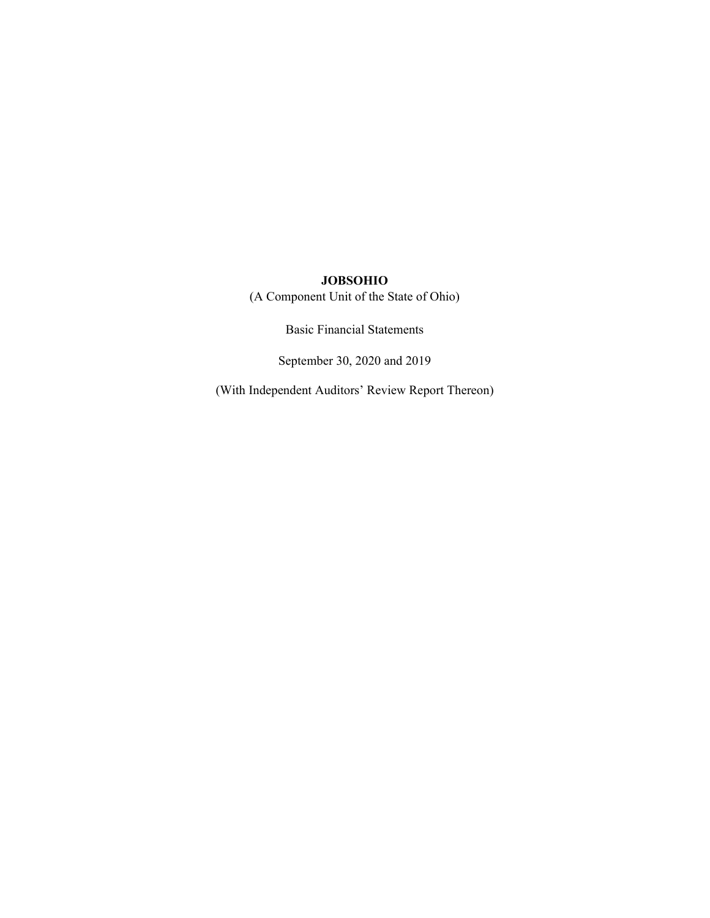(A Component Unit of the State of Ohio)

Basic Financial Statements

September 30, 2020 and 2019

(With Independent Auditors' Review Report Thereon)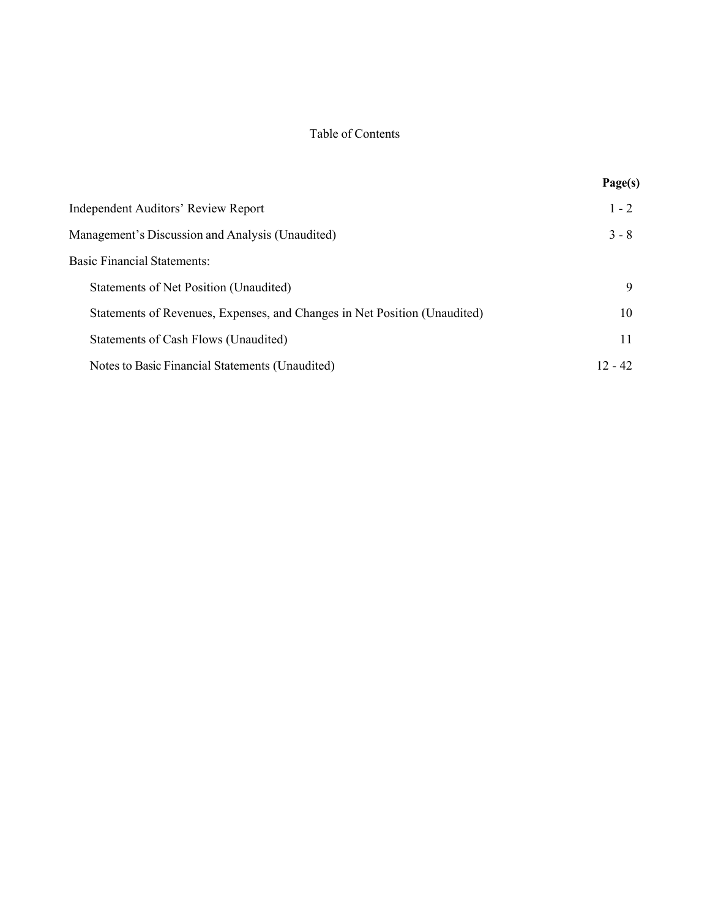## Table of Contents

|                                                                           | Page(s)   |
|---------------------------------------------------------------------------|-----------|
| Independent Auditors' Review Report                                       | $1 - 2$   |
| Management's Discussion and Analysis (Unaudited)                          | $3 - 8$   |
| <b>Basic Financial Statements:</b>                                        |           |
| Statements of Net Position (Unaudited)                                    | 9         |
| Statements of Revenues, Expenses, and Changes in Net Position (Unaudited) | 10        |
| Statements of Cash Flows (Unaudited)                                      | 11        |
| Notes to Basic Financial Statements (Unaudited)                           | $12 - 42$ |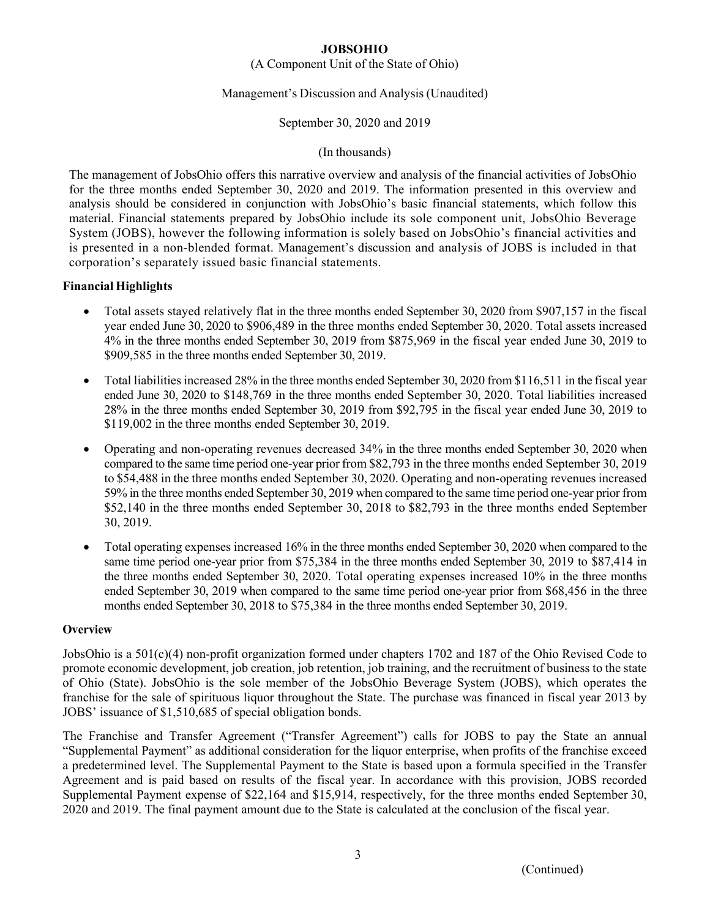### (A Component Unit of the State of Ohio)

## Management's Discussion and Analysis (Unaudited)

## September 30, 2020 and 2019

## (In thousands)

The management of JobsOhio offers this narrative overview and analysis of the financial activities of JobsOhio for the three months ended September 30, 2020 and 2019. The information presented in this overview and analysis should be considered in conjunction with JobsOhio's basic financial statements, which follow this material. Financial statements prepared by JobsOhio include its sole component unit, JobsOhio Beverage System (JOBS), however the following information is solely based on JobsOhio's financial activities and is presented in a non-blended format. Management's discussion and analysis of JOBS is included in that corporation's separately issued basic financial statements.

## **Financial Highlights**

- Total assets stayed relatively flat in the three months ended September 30, 2020 from \$907,157 in the fiscal year ended June 30, 2020 to \$906,489 in the three months ended September 30, 2020. Total assets increased 4% in the three months ended September 30, 2019 from \$875,969 in the fiscal year ended June 30, 2019 to \$909,585 in the three months ended September 30, 2019.
- Total liabilities increased 28% in the three months ended September 30, 2020 from \$116,511 in the fiscal year ended June 30, 2020 to \$148,769 in the three months ended September 30, 2020. Total liabilities increased 28% in the three months ended September 30, 2019 from \$92,795 in the fiscal year ended June 30, 2019 to \$119,002 in the three months ended September 30, 2019.
- Operating and non-operating revenues decreased 34% in the three months ended September 30, 2020 when compared to the same time period one-year prior from \$82,793 in the three months ended September 30, 2019 to \$54,488 in the three months ended September 30, 2020. Operating and non-operating revenues increased 59% in the three months ended September 30, 2019 when compared to the same time period one-year prior from \$52,140 in the three months ended September 30, 2018 to \$82,793 in the three months ended September 30, 2019.
- Total operating expenses increased 16% in the three months ended September 30, 2020 when compared to the same time period one-year prior from \$75,384 in the three months ended September 30, 2019 to \$87,414 in the three months ended September 30, 2020. Total operating expenses increased 10% in the three months ended September 30, 2019 when compared to the same time period one-year prior from \$68,456 in the three months ended September 30, 2018 to \$75,384 in the three months ended September 30, 2019.

### **Overview**

JobsOhio is a 501(c)(4) non-profit organization formed under chapters 1702 and 187 of the Ohio Revised Code to promote economic development, job creation, job retention, job training, and the recruitment of business to the state of Ohio (State). JobsOhio is the sole member of the JobsOhio Beverage System (JOBS), which operates the franchise for the sale of spirituous liquor throughout the State. The purchase was financed in fiscal year 2013 by JOBS' issuance of \$1,510,685 of special obligation bonds.

The Franchise and Transfer Agreement ("Transfer Agreement") calls for JOBS to pay the State an annual "Supplemental Payment" as additional consideration for the liquor enterprise, when profits of the franchise exceed a predetermined level. The Supplemental Payment to the State is based upon a formula specified in the Transfer Agreement and is paid based on results of the fiscal year. In accordance with this provision, JOBS recorded Supplemental Payment expense of \$22,164 and \$15,914, respectively, for the three months ended September 30, 2020 and 2019. The final payment amount due to the State is calculated at the conclusion of the fiscal year.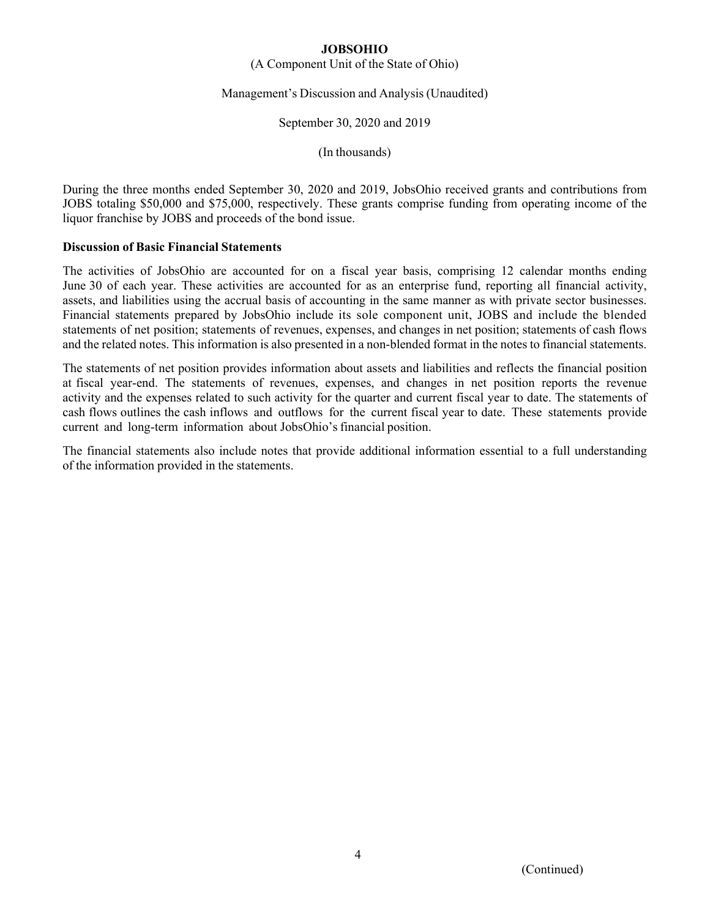## (A Component Unit of the State of Ohio)

Management's Discussion and Analysis (Unaudited)

September 30, 2020 and 2019

(In thousands)

During the three months ended September 30, 2020 and 2019, JobsOhio received grants and contributions from JOBS totaling \$50,000 and \$75,000, respectively. These grants comprise funding from operating income of the liquor franchise by JOBS and proceeds of the bond issue.

#### **Discussion of Basic Financial Statements**

The activities of JobsOhio are accounted for on a fiscal year basis, comprising 12 calendar months ending June 30 of each year. These activities are accounted for as an enterprise fund, reporting all financial activity, assets, and liabilities using the accrual basis of accounting in the same manner as with private sector businesses. Financial statements prepared by JobsOhio include its sole component unit, JOBS and include the blended statements of net position; statements of revenues, expenses, and changes in net position; statements of cash flows and the related notes. This information is also presented in a non-blended format in the notes to financial statements.

The statements of net position provides information about assets and liabilities and reflects the financial position at fiscal year-end. The statements of revenues, expenses, and changes in net position reports the revenue activity and the expenses related to such activity for the quarter and current fiscal year to date. The statements of cash flows outlines the cash inflows and outflows for the current fiscal year to date. These statements provide current and long-term information about JobsOhio's financial position.

The financial statements also include notes that provide additional information essential to a full understanding of the information provided in the statements.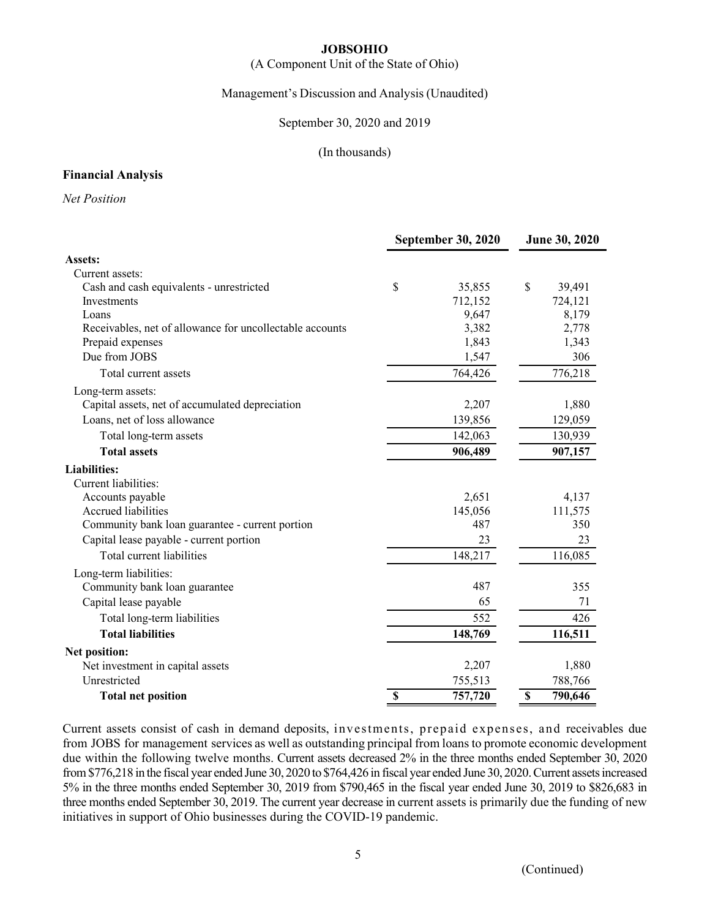#### (A Component Unit of the State of Ohio)

#### Management's Discussion and Analysis (Unaudited)

#### September 30, 2020 and 2019

## (In thousands)

#### **Financial Analysis**

#### *Net Position*

|                                                          | <b>September 30, 2020</b> |         | June 30, 2020 |         |
|----------------------------------------------------------|---------------------------|---------|---------------|---------|
| <b>Assets:</b>                                           |                           |         |               |         |
| Current assets:                                          |                           |         |               |         |
| Cash and cash equivalents - unrestricted                 | \$                        | 35,855  | \$            | 39,491  |
| Investments                                              |                           | 712,152 |               | 724,121 |
| Loans                                                    |                           | 9,647   |               | 8,179   |
| Receivables, net of allowance for uncollectable accounts |                           | 3,382   |               | 2,778   |
| Prepaid expenses                                         |                           | 1,843   |               | 1,343   |
| Due from JOBS                                            |                           | 1,547   |               | 306     |
| Total current assets                                     |                           | 764,426 |               | 776,218 |
| Long-term assets:                                        |                           |         |               |         |
| Capital assets, net of accumulated depreciation          |                           | 2,207   |               | 1,880   |
| Loans, net of loss allowance                             |                           | 139,856 |               | 129,059 |
| Total long-term assets                                   |                           | 142,063 |               | 130,939 |
| <b>Total assets</b>                                      |                           | 906,489 |               | 907,157 |
| <b>Liabilities:</b>                                      |                           |         |               |         |
| Current liabilities:                                     |                           |         |               |         |
| Accounts payable                                         |                           | 2,651   |               | 4,137   |
| Accrued liabilities                                      |                           | 145,056 |               | 111,575 |
| Community bank loan guarantee - current portion          |                           | 487     |               | 350     |
| Capital lease payable - current portion                  |                           | 23      |               | 23      |
| Total current liabilities                                |                           | 148,217 |               | 116,085 |
| Long-term liabilities:                                   |                           |         |               |         |
| Community bank loan guarantee                            |                           | 487     |               | 355     |
| Capital lease payable                                    |                           | 65      |               | 71      |
| Total long-term liabilities                              |                           | 552     |               | 426     |
| <b>Total liabilities</b>                                 |                           | 148,769 |               | 116,511 |
| <b>Net position:</b>                                     |                           |         |               |         |
| Net investment in capital assets                         |                           | 2,207   |               | 1,880   |
| Unrestricted                                             |                           | 755,513 |               | 788,766 |
| <b>Total net position</b>                                | \$                        | 757,720 | \$            | 790,646 |

Current assets consist of cash in demand deposits, investments, prepaid expenses, and receivables due from JOBS for management services as well as outstanding principal from loans to promote economic development due within the following twelve months. Current assets decreased 2% in the three months ended September 30, 2020 from \$776,218 in the fiscal year ended June 30, 2020 to \$764,426 in fiscal year ended June 30, 2020. Current assets increased 5% in the three months ended September 30, 2019 from \$790,465 in the fiscal year ended June 30, 2019 to \$826,683 in three months ended September 30, 2019. The current year decrease in current assets is primarily due the funding of new initiatives in support of Ohio businesses during the COVID-19 pandemic.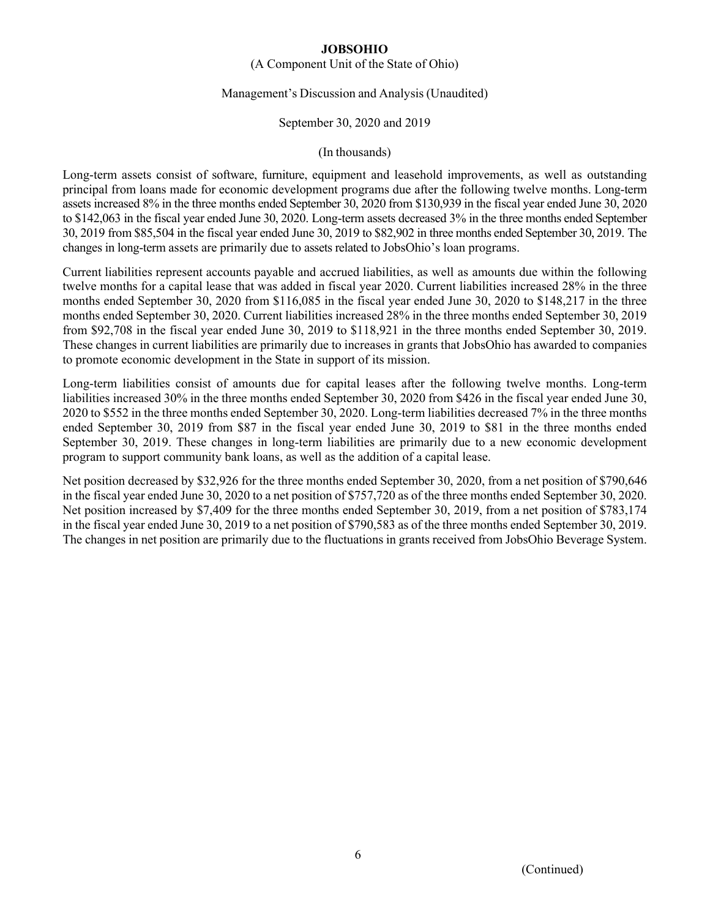## (A Component Unit of the State of Ohio)

#### Management's Discussion and Analysis (Unaudited)

#### September 30, 2020 and 2019

#### (In thousands)

Long-term assets consist of software, furniture, equipment and leasehold improvements, as well as outstanding principal from loans made for economic development programs due after the following twelve months. Long-term assets increased 8% in the three months ended September 30, 2020 from \$130,939 in the fiscal year ended June 30, 2020 to \$142,063 in the fiscal year ended June 30, 2020. Long-term assets decreased 3% in the three months ended September 30, 2019 from \$85,504 in the fiscal year ended June 30, 2019 to \$82,902 in three months ended September 30, 2019. The changes in long-term assets are primarily due to assets related to JobsOhio's loan programs.

Current liabilities represent accounts payable and accrued liabilities, as well as amounts due within the following twelve months for a capital lease that was added in fiscal year 2020. Current liabilities increased 28% in the three months ended September 30, 2020 from \$116,085 in the fiscal year ended June 30, 2020 to \$148,217 in the three months ended September 30, 2020. Current liabilities increased 28% in the three months ended September 30, 2019 from \$92,708 in the fiscal year ended June 30, 2019 to \$118,921 in the three months ended September 30, 2019. These changes in current liabilities are primarily due to increases in grants that JobsOhio has awarded to companies to promote economic development in the State in support of its mission.

Long-term liabilities consist of amounts due for capital leases after the following twelve months. Long-term liabilities increased 30% in the three months ended September 30, 2020 from \$426 in the fiscal year ended June 30, 2020 to \$552 in the three months ended September 30, 2020. Long-term liabilities decreased 7% in the three months ended September 30, 2019 from \$87 in the fiscal year ended June 30, 2019 to \$81 in the three months ended September 30, 2019. These changes in long-term liabilities are primarily due to a new economic development program to support community bank loans, as well as the addition of a capital lease.

Net position decreased by \$32,926 for the three months ended September 30, 2020, from a net position of \$790,646 in the fiscal year ended June 30, 2020 to a net position of \$757,720 as of the three months ended September 30, 2020. Net position increased by \$7,409 for the three months ended September 30, 2019, from a net position of \$783,174 in the fiscal year ended June 30, 2019 to a net position of \$790,583 as of the three months ended September 30, 2019. The changes in net position are primarily due to the fluctuations in grants received from JobsOhio Beverage System.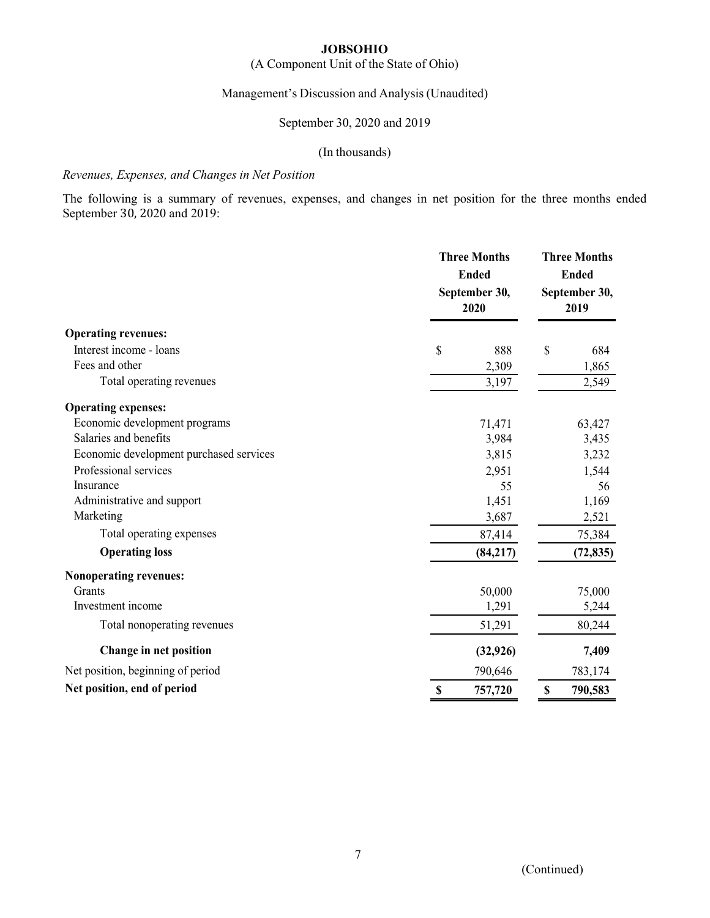## (A Component Unit of the State of Ohio)

## Management's Discussion and Analysis (Unaudited)

## September 30, 2020 and 2019

#### (In thousands)

#### *Revenues, Expenses, and Changes in Net Position*

The following is a summary of revenues, expenses, and changes in net position for the three months ended September 30, 2020 and 2019:

|                                         | <b>Three Months</b><br><b>Ended</b><br>September 30,<br>2020 |           | <b>Three Months</b><br><b>Ended</b><br>September 30,<br>2019 |           |
|-----------------------------------------|--------------------------------------------------------------|-----------|--------------------------------------------------------------|-----------|
| <b>Operating revenues:</b>              |                                                              |           |                                                              |           |
| Interest income - loans                 | \$                                                           | 888       | \$                                                           | 684       |
| Fees and other                          |                                                              | 2,309     |                                                              | 1,865     |
| Total operating revenues                |                                                              | 3,197     |                                                              | 2,549     |
| <b>Operating expenses:</b>              |                                                              |           |                                                              |           |
| Economic development programs           |                                                              | 71,471    |                                                              | 63,427    |
| Salaries and benefits                   |                                                              | 3,984     |                                                              | 3,435     |
| Economic development purchased services |                                                              | 3,815     |                                                              | 3,232     |
| Professional services                   |                                                              | 2,951     |                                                              | 1,544     |
| Insurance                               |                                                              | 55        |                                                              | 56        |
| Administrative and support              |                                                              | 1,451     |                                                              | 1,169     |
| Marketing                               |                                                              | 3,687     |                                                              | 2,521     |
| Total operating expenses                |                                                              | 87,414    |                                                              | 75,384    |
| <b>Operating loss</b>                   |                                                              | (84,217)  |                                                              | (72, 835) |
| <b>Nonoperating revenues:</b>           |                                                              |           |                                                              |           |
| Grants                                  |                                                              | 50,000    |                                                              | 75,000    |
| Investment income                       |                                                              | 1,291     |                                                              | 5,244     |
| Total nonoperating revenues             |                                                              | 51,291    |                                                              | 80,244    |
| Change in net position                  |                                                              | (32, 926) |                                                              | 7,409     |
| Net position, beginning of period       |                                                              | 790,646   |                                                              | 783,174   |
| Net position, end of period             | \$                                                           | 757,720   | \$                                                           | 790,583   |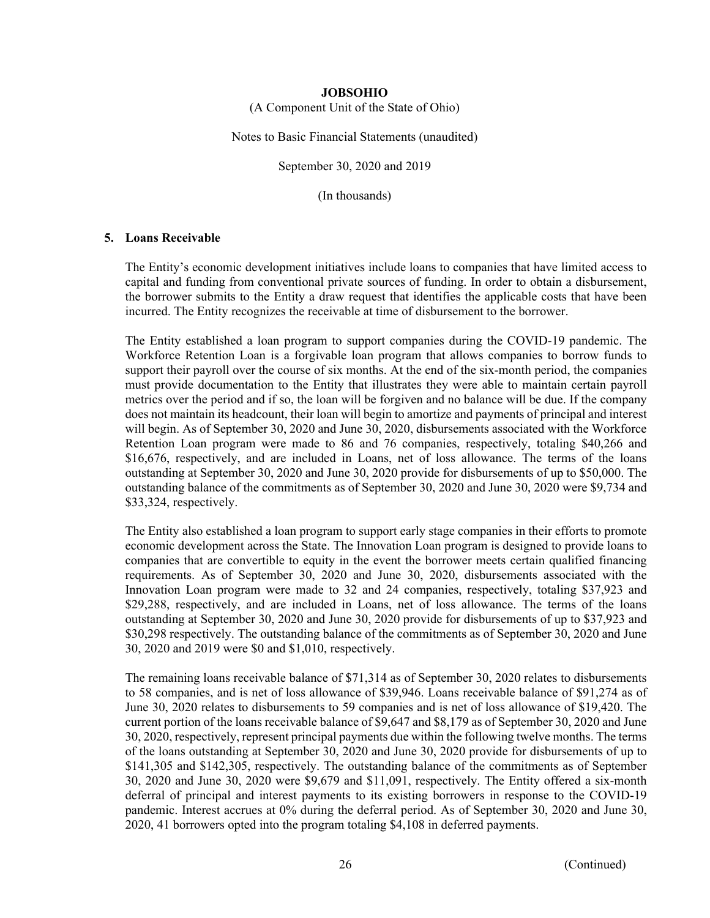(A Component Unit of the State of Ohio)

Notes to Basic Financial Statements (unaudited)

September 30, 2020 and 2019

(In thousands)

#### **5. Loans Receivable**

The Entity's economic development initiatives include loans to companies that have limited access to capital and funding from conventional private sources of funding. In order to obtain a disbursement, the borrower submits to the Entity a draw request that identifies the applicable costs that have been incurred. The Entity recognizes the receivable at time of disbursement to the borrower.

The Entity established a loan program to support companies during the COVID-19 pandemic. The Workforce Retention Loan is a forgivable loan program that allows companies to borrow funds to support their payroll over the course of six months. At the end of the six-month period, the companies must provide documentation to the Entity that illustrates they were able to maintain certain payroll metrics over the period and if so, the loan will be forgiven and no balance will be due. If the company does not maintain its headcount, their loan will begin to amortize and payments of principal and interest will begin. As of September 30, 2020 and June 30, 2020, disbursements associated with the Workforce Retention Loan program were made to 86 and 76 companies, respectively, totaling \$40,266 and \$16,676, respectively, and are included in Loans, net of loss allowance. The terms of the loans outstanding at September 30, 2020 and June 30, 2020 provide for disbursements of up to \$50,000. The outstanding balance of the commitments as of September 30, 2020 and June 30, 2020 were \$9,734 and \$33,324, respectively.

The Entity also established a loan program to support early stage companies in their efforts to promote economic development across the State. The Innovation Loan program is designed to provide loans to companies that are convertible to equity in the event the borrower meets certain qualified financing requirements. As of September 30, 2020 and June 30, 2020, disbursements associated with the Innovation Loan program were made to 32 and 24 companies, respectively, totaling \$37,923 and \$29,288, respectively, and are included in Loans, net of loss allowance. The terms of the loans outstanding at September 30, 2020 and June 30, 2020 provide for disbursements of up to \$37,923 and \$30,298 respectively. The outstanding balance of the commitments as of September 30, 2020 and June 30, 2020 and 2019 were \$0 and \$1,010, respectively.

The remaining loans receivable balance of \$71,314 as of September 30, 2020 relates to disbursements to 58 companies, and is net of loss allowance of \$39,946. Loans receivable balance of \$91,274 as of June 30, 2020 relates to disbursements to 59 companies and is net of loss allowance of \$19,420. The current portion of the loans receivable balance of \$9,647 and \$8,179 as of September 30, 2020 and June 30, 2020, respectively, represent principal payments due within the following twelve months. The terms of the loans outstanding at September 30, 2020 and June 30, 2020 provide for disbursements of up to \$141,305 and \$142,305, respectively. The outstanding balance of the commitments as of September 30, 2020 and June 30, 2020 were \$9,679 and \$11,091, respectively. The Entity offered a six-month deferral of principal and interest payments to its existing borrowers in response to the COVID-19 pandemic. Interest accrues at 0% during the deferral period. As of September 30, 2020 and June 30, 2020, 41 borrowers opted into the program totaling \$4,108 in deferred payments.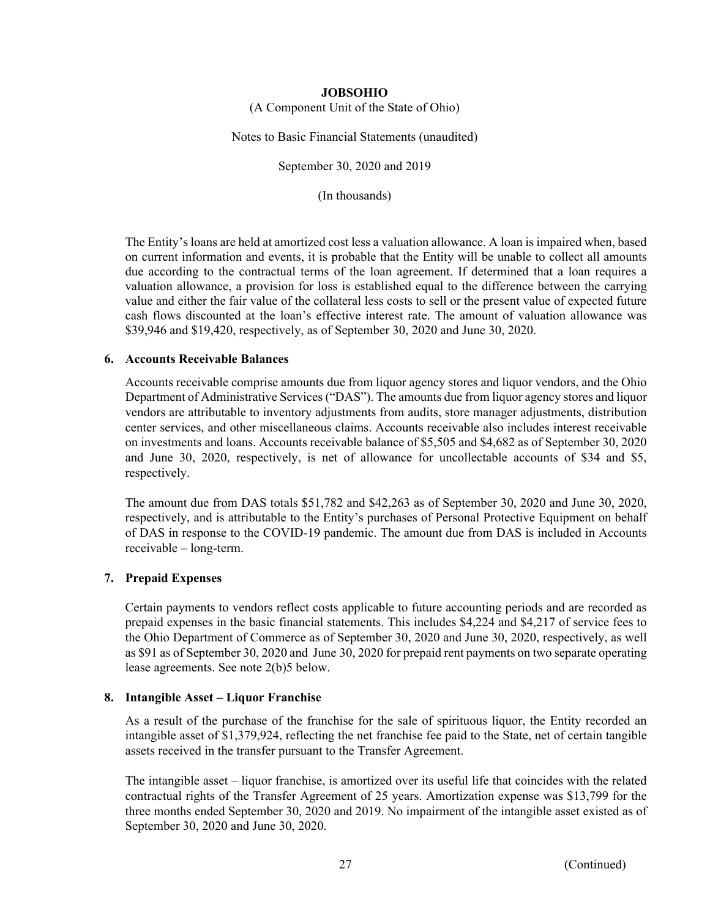(A Component Unit of the State of Ohio)

Notes to Basic Financial Statements (unaudited)

September 30, 2020 and 2019

(In thousands)

The Entity's loans are held at amortized cost less a valuation allowance. A loan is impaired when, based on current information and events, it is probable that the Entity will be unable to collect all amounts due according to the contractual terms of the loan agreement. If determined that a loan requires a valuation allowance, a provision for loss is established equal to the difference between the carrying value and either the fair value of the collateral less costs to sell or the present value of expected future cash flows discounted at the loan's effective interest rate. The amount of valuation allowance was \$39,946 and \$19,420, respectively, as of September 30, 2020 and June 30, 2020.

#### **6. Accounts Receivable Balances**

Accounts receivable comprise amounts due from liquor agency stores and liquor vendors, and the Ohio Department of Administrative Services ("DAS"). The amounts due from liquor agency stores and liquor vendors are attributable to inventory adjustments from audits, store manager adjustments, distribution center services, and other miscellaneous claims. Accounts receivable also includes interest receivable on investments and loans. Accounts receivable balance of \$5,505 and \$4,682 as of September 30, 2020 and June 30, 2020, respectively, is net of allowance for uncollectable accounts of \$34 and \$5, respectively.

The amount due from DAS totals \$51,782 and \$42,263 as of September 30, 2020 and June 30, 2020, respectively, and is attributable to the Entity's purchases of Personal Protective Equipment on behalf of DAS in response to the COVID-19 pandemic. The amount due from DAS is included in Accounts receivable – long-term.

### **7. Prepaid Expenses**

Certain payments to vendors reflect costs applicable to future accounting periods and are recorded as prepaid expenses in the basic financial statements. This includes \$4,224 and \$4,217 of service fees to the Ohio Department of Commerce as of September 30, 2020 and June 30, 2020, respectively, as well as \$91 as of September 30, 2020 and June 30, 2020 for prepaid rent payments on two separate operating lease agreements. See note 2(b)5 below.

### **8. Intangible Asset – Liquor Franchise**

As a result of the purchase of the franchise for the sale of spirituous liquor, the Entity recorded an intangible asset of \$1,379,924, reflecting the net franchise fee paid to the State, net of certain tangible assets received in the transfer pursuant to the Transfer Agreement.

The intangible asset – liquor franchise, is amortized over its useful life that coincides with the related contractual rights of the Transfer Agreement of 25 years. Amortization expense was \$13,799 for the three months ended September 30, 2020 and 2019. No impairment of the intangible asset existed as of September 30, 2020 and June 30, 2020.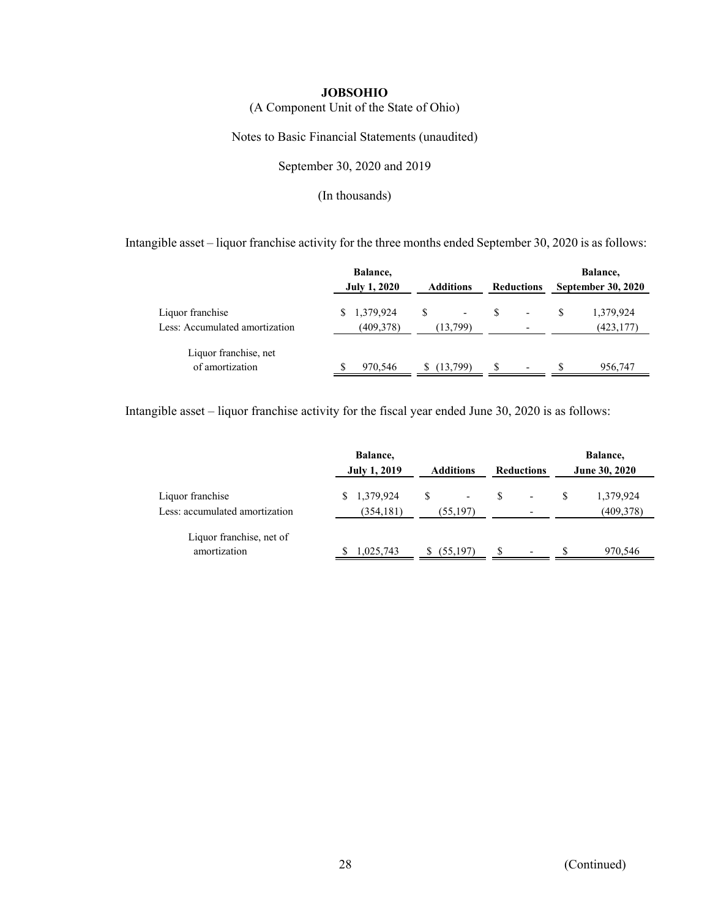(A Component Unit of the State of Ohio)

Notes to Basic Financial Statements (unaudited)

September 30, 2020 and 2019

(In thousands)

Intangible asset – liquor franchise activity for the three months ended September 30, 2020 is as follows:

|                                                    | Balance,<br><b>July 1, 2020</b> |   | <b>Additions</b>                     |    | <b>Reductions</b>        | Balance,<br><b>September 30, 2020</b> |
|----------------------------------------------------|---------------------------------|---|--------------------------------------|----|--------------------------|---------------------------------------|
| Liquor franchise<br>Less: Accumulated amortization | \$1,379,924<br>(409, 378)       | S | $\overline{\phantom{a}}$<br>(13,799) | -S | $\overline{\phantom{a}}$ | 1,379,924<br>(423, 177)               |
| Liquor franchise, net<br>of amortization           | 970,546                         |   | (13,799)                             |    |                          | 956,747                               |

Intangible asset – liquor franchise activity for the fiscal year ended June 30, 2020 is as follows:

|                                                    | Balance.<br><b>July 1, 2019</b> | <b>Additions</b>                      | <b>Reductions</b>             | Balance,<br>June 30, 2020 |
|----------------------------------------------------|---------------------------------|---------------------------------------|-------------------------------|---------------------------|
| Liquor franchise<br>Less: accumulated amortization | 1,379,924<br>(354, 181)         | $\overline{\phantom{a}}$<br>(55, 197) | -                             | 1,379,924<br>(409,378)    |
| Liquor franchise, net of<br>amortization           | 1,025,743                       | (55,197)                              | S<br>$\overline{\phantom{a}}$ | 970,546                   |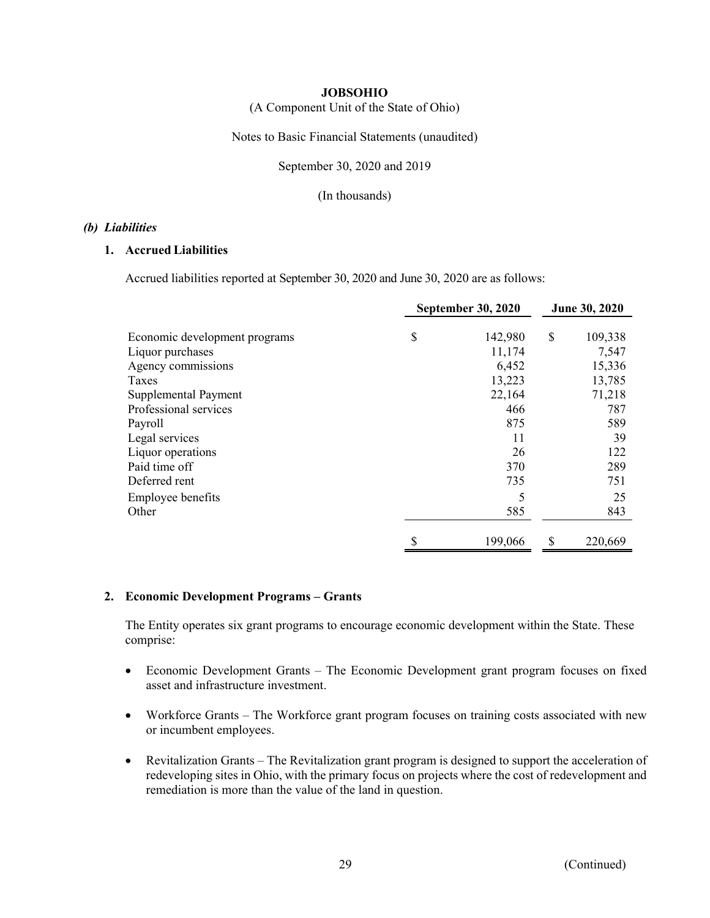(A Component Unit of the State of Ohio)

Notes to Basic Financial Statements (unaudited)

September 30, 2020 and 2019

(In thousands)

#### *(b) Liabilities*

## **1. Accrued Liabilities**

Accrued liabilities reported at September 30, 2020 and June 30, 2020 are as follows:

|                               | <b>September 30, 2020</b> |         | June 30, 2020 |         |
|-------------------------------|---------------------------|---------|---------------|---------|
|                               |                           |         |               |         |
| Economic development programs | \$                        | 142,980 | \$            | 109,338 |
| Liquor purchases              |                           | 11,174  |               | 7,547   |
| Agency commissions            |                           | 6,452   |               | 15,336  |
| Taxes                         |                           | 13,223  |               | 13,785  |
| Supplemental Payment          |                           | 22,164  |               | 71,218  |
| Professional services         |                           | 466     |               | 787     |
| Payroll                       |                           | 875     |               | 589     |
| Legal services                |                           | 11      |               | 39      |
| Liquor operations             |                           | 26      |               | 122     |
| Paid time off                 |                           | 370     |               | 289     |
| Deferred rent                 |                           | 735     |               | 751     |
| Employee benefits             |                           | 5       |               | 25      |
| Other                         |                           | 585     |               | 843     |
|                               | \$                        | 199,066 | \$            | 220,669 |

### **2. Economic Development Programs – Grants**

The Entity operates six grant programs to encourage economic development within the State. These comprise:

- Economic Development Grants The Economic Development grant program focuses on fixed asset and infrastructure investment.
- Workforce Grants The Workforce grant program focuses on training costs associated with new or incumbent employees.
- Revitalization Grants The Revitalization grant program is designed to support the acceleration of redeveloping sites in Ohio, with the primary focus on projects where the cost of redevelopment and remediation is more than the value of the land in question.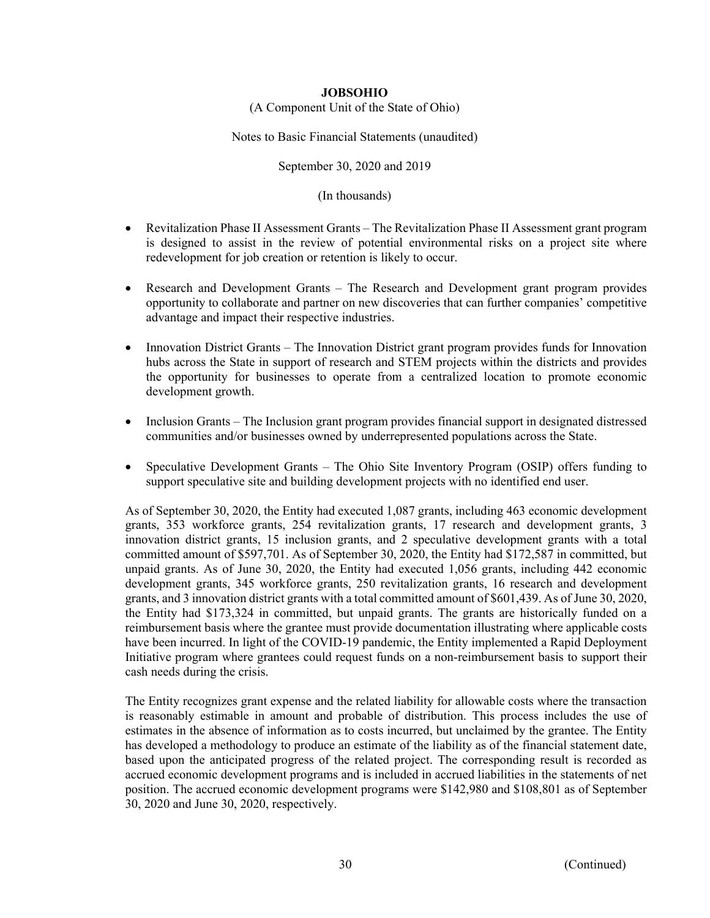(A Component Unit of the State of Ohio)

Notes to Basic Financial Statements (unaudited)

September 30, 2020 and 2019

(In thousands)

- Revitalization Phase II Assessment Grants The Revitalization Phase II Assessment grant program is designed to assist in the review of potential environmental risks on a project site where redevelopment for job creation or retention is likely to occur.
- Research and Development Grants The Research and Development grant program provides opportunity to collaborate and partner on new discoveries that can further companies' competitive advantage and impact their respective industries.
- Innovation District Grants The Innovation District grant program provides funds for Innovation hubs across the State in support of research and STEM projects within the districts and provides the opportunity for businesses to operate from a centralized location to promote economic development growth.
- Inclusion Grants The Inclusion grant program provides financial support in designated distressed communities and/or businesses owned by underrepresented populations across the State.
- Speculative Development Grants The Ohio Site Inventory Program (OSIP) offers funding to support speculative site and building development projects with no identified end user.

As of September 30, 2020, the Entity had executed 1,087 grants, including 463 economic development grants, 353 workforce grants, 254 revitalization grants, 17 research and development grants, 3 innovation district grants, 15 inclusion grants, and 2 speculative development grants with a total committed amount of \$597,701. As of September 30, 2020, the Entity had \$172,587 in committed, but unpaid grants. As of June 30, 2020, the Entity had executed 1,056 grants, including 442 economic development grants, 345 workforce grants, 250 revitalization grants, 16 research and development grants, and 3 innovation district grants with a total committed amount of \$601,439. As of June 30, 2020, the Entity had \$173,324 in committed, but unpaid grants. The grants are historically funded on a reimbursement basis where the grantee must provide documentation illustrating where applicable costs have been incurred. In light of the COVID-19 pandemic, the Entity implemented a Rapid Deployment Initiative program where grantees could request funds on a non-reimbursement basis to support their cash needs during the crisis.

The Entity recognizes grant expense and the related liability for allowable costs where the transaction is reasonably estimable in amount and probable of distribution. This process includes the use of estimates in the absence of information as to costs incurred, but unclaimed by the grantee. The Entity has developed a methodology to produce an estimate of the liability as of the financial statement date, based upon the anticipated progress of the related project. The corresponding result is recorded as accrued economic development programs and is included in accrued liabilities in the statements of net position. The accrued economic development programs were \$142,980 and \$108,801 as of September 30, 2020 and June 30, 2020, respectively.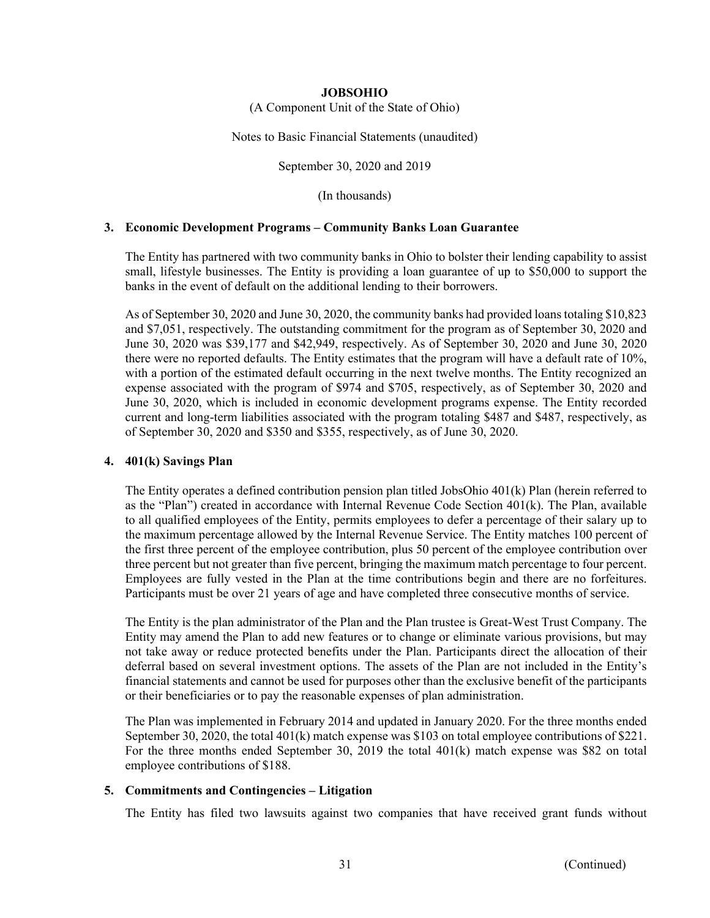(A Component Unit of the State of Ohio)

Notes to Basic Financial Statements (unaudited)

September 30, 2020 and 2019

(In thousands)

#### **3. Economic Development Programs – Community Banks Loan Guarantee**

The Entity has partnered with two community banks in Ohio to bolster their lending capability to assist small, lifestyle businesses. The Entity is providing a loan guarantee of up to \$50,000 to support the banks in the event of default on the additional lending to their borrowers.

As of September 30, 2020 and June 30, 2020, the community banks had provided loans totaling \$10,823 and \$7,051, respectively. The outstanding commitment for the program as of September 30, 2020 and June 30, 2020 was \$39,177 and \$42,949, respectively. As of September 30, 2020 and June 30, 2020 there were no reported defaults. The Entity estimates that the program will have a default rate of 10%, with a portion of the estimated default occurring in the next twelve months. The Entity recognized an expense associated with the program of \$974 and \$705, respectively, as of September 30, 2020 and June 30, 2020, which is included in economic development programs expense. The Entity recorded current and long-term liabilities associated with the program totaling \$487 and \$487, respectively, as of September 30, 2020 and \$350 and \$355, respectively, as of June 30, 2020.

#### **4. 401(k) Savings Plan**

The Entity operates a defined contribution pension plan titled JobsOhio 401(k) Plan (herein referred to as the "Plan") created in accordance with Internal Revenue Code Section 401(k). The Plan, available to all qualified employees of the Entity, permits employees to defer a percentage of their salary up to the maximum percentage allowed by the Internal Revenue Service. The Entity matches 100 percent of the first three percent of the employee contribution, plus 50 percent of the employee contribution over three percent but not greater than five percent, bringing the maximum match percentage to four percent. Employees are fully vested in the Plan at the time contributions begin and there are no forfeitures. Participants must be over 21 years of age and have completed three consecutive months of service.

The Entity is the plan administrator of the Plan and the Plan trustee is Great-West Trust Company. The Entity may amend the Plan to add new features or to change or eliminate various provisions, but may not take away or reduce protected benefits under the Plan. Participants direct the allocation of their deferral based on several investment options. The assets of the Plan are not included in the Entity's financial statements and cannot be used for purposes other than the exclusive benefit of the participants or their beneficiaries or to pay the reasonable expenses of plan administration.

The Plan was implemented in February 2014 and updated in January 2020. For the three months ended September 30, 2020, the total 401(k) match expense was \$103 on total employee contributions of \$221. For the three months ended September 30, 2019 the total 401(k) match expense was \$82 on total employee contributions of \$188.

### **5. Commitments and Contingencies – Litigation**

The Entity has filed two lawsuits against two companies that have received grant funds without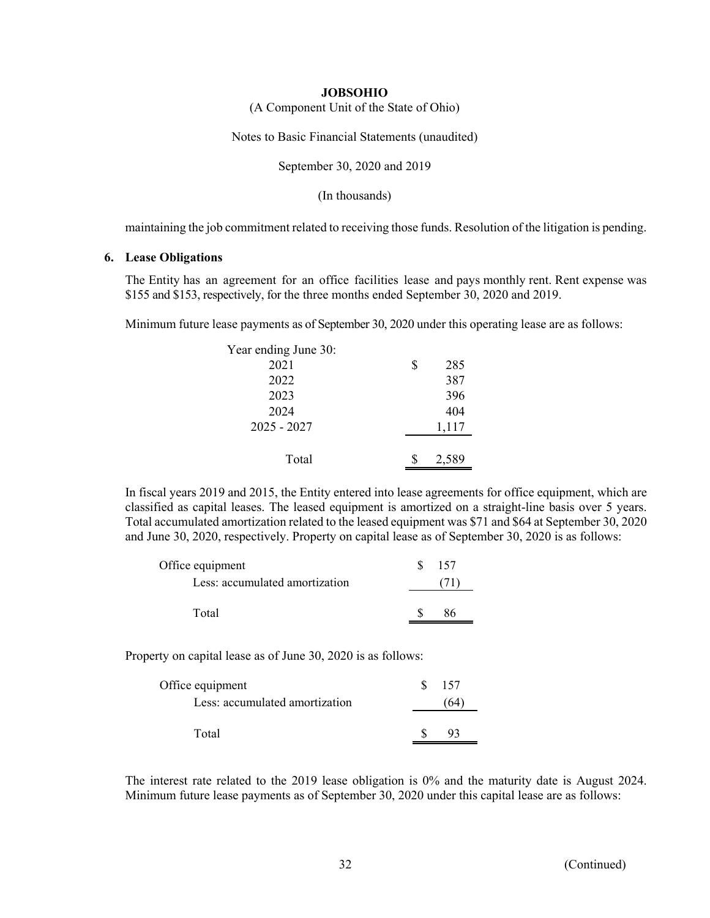(A Component Unit of the State of Ohio)

Notes to Basic Financial Statements (unaudited)

September 30, 2020 and 2019

(In thousands)

maintaining the job commitment related to receiving those funds. Resolution of the litigation is pending.

#### **6. Lease Obligations**

The Entity has an agreement for an office facilities lease and pays monthly rent. Rent expense was \$155 and \$153, respectively, for the three months ended September 30, 2020 and 2019.

Minimum future lease payments as of September 30, 2020 under this operating lease are as follows:

| Year ending June 30: |           |
|----------------------|-----------|
| 2021                 | \$<br>285 |
| 2022                 | 387       |
| 2023                 | 396       |
| 2024                 | 404       |
| $2025 - 2027$        | 1,117     |
|                      |           |
| Total                | 2,589     |

In fiscal years 2019 and 2015, the Entity entered into lease agreements for office equipment, which are classified as capital leases. The leased equipment is amortized on a straight-line basis over 5 years. Total accumulated amortization related to the leased equipment was \$71 and \$64 at September 30, 2020 and June 30, 2020, respectively. Property on capital lease as of September 30, 2020 is as follows:

| Office equipment               | 157 |
|--------------------------------|-----|
| Less: accumulated amortization |     |
|                                |     |
| Total                          |     |

Property on capital lease as of June 30, 2020 is as follows:

| Office equipment               | Ж | 157 |
|--------------------------------|---|-----|
| Less: accumulated amortization |   | 64  |
| Total                          |   |     |
|                                |   |     |

The interest rate related to the 2019 lease obligation is 0% and the maturity date is August 2024. Minimum future lease payments as of September 30, 2020 under this capital lease are as follows: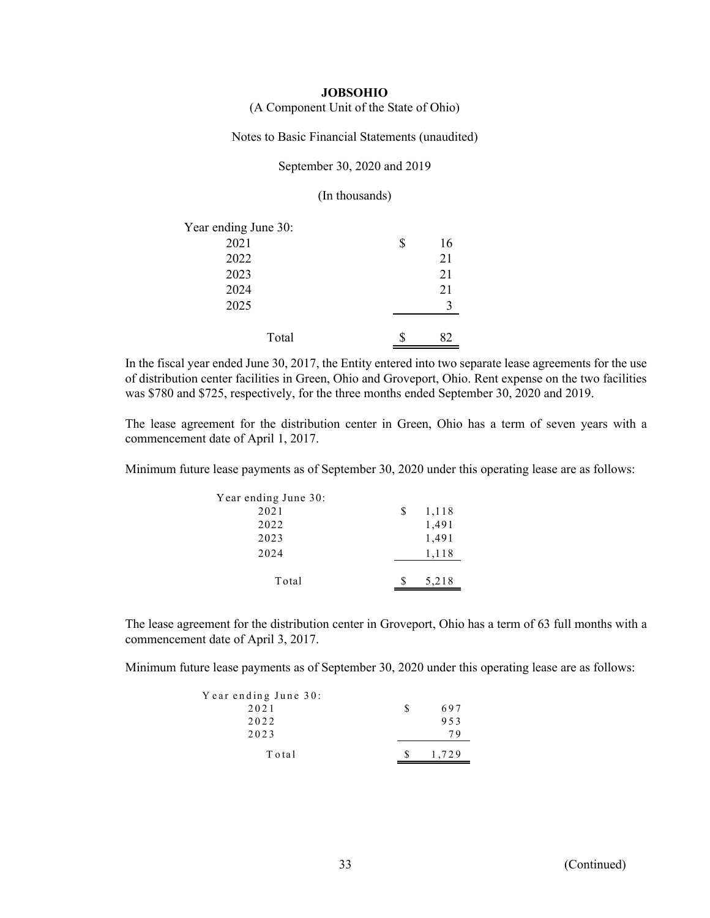(A Component Unit of the State of Ohio)

Notes to Basic Financial Statements (unaudited)

September 30, 2020 and 2019

(In thousands)

| Year ending June 30: |   |    |
|----------------------|---|----|
| 2021                 | S | 16 |
| 2022                 |   | 21 |
| 2023                 |   | 21 |
| 2024                 |   | 21 |
| 2025                 |   | 3  |
|                      |   |    |
| Total                |   |    |

In the fiscal year ended June 30, 2017, the Entity entered into two separate lease agreements for the use of distribution center facilities in Green, Ohio and Groveport, Ohio. Rent expense on the two facilities was \$780 and \$725, respectively, for the three months ended September 30, 2020 and 2019.

The lease agreement for the distribution center in Green, Ohio has a term of seven years with a commencement date of April 1, 2017.

Minimum future lease payments as of September 30, 2020 under this operating lease are as follows:

| Year ending June 30: |   |       |
|----------------------|---|-------|
| 2021                 | S | 1,118 |
| 2022                 |   | 1,491 |
| 2023                 |   | 1,491 |
| 2024                 |   | 1,118 |
|                      |   |       |
| Total                |   | 5,218 |

The lease agreement for the distribution center in Groveport, Ohio has a term of 63 full months with a commencement date of April 3, 2017.

Minimum future lease payments as of September 30, 2020 under this operating lease are as follows:

| Year ending June 30: |     |       |
|----------------------|-----|-------|
| 2021                 | \$. | 697   |
| 2022                 |     | 953   |
| 2023                 |     | 7 Q   |
| Total                |     | 1,729 |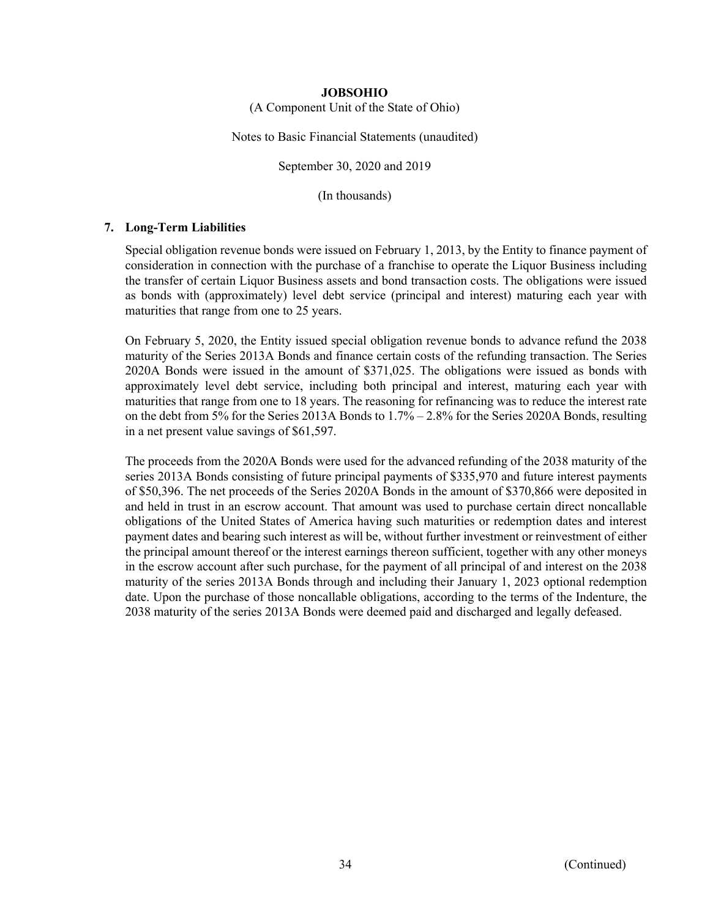(A Component Unit of the State of Ohio)

Notes to Basic Financial Statements (unaudited)

September 30, 2020 and 2019

(In thousands)

#### **7. Long-Term Liabilities**

Special obligation revenue bonds were issued on February 1, 2013, by the Entity to finance payment of consideration in connection with the purchase of a franchise to operate the Liquor Business including the transfer of certain Liquor Business assets and bond transaction costs. The obligations were issued as bonds with (approximately) level debt service (principal and interest) maturing each year with maturities that range from one to 25 years.

On February 5, 2020, the Entity issued special obligation revenue bonds to advance refund the 2038 maturity of the Series 2013A Bonds and finance certain costs of the refunding transaction. The Series 2020A Bonds were issued in the amount of \$371,025. The obligations were issued as bonds with approximately level debt service, including both principal and interest, maturing each year with maturities that range from one to 18 years. The reasoning for refinancing was to reduce the interest rate on the debt from 5% for the Series 2013A Bonds to 1.7% – 2.8% for the Series 2020A Bonds, resulting in a net present value savings of \$61,597.

The proceeds from the 2020A Bonds were used for the advanced refunding of the 2038 maturity of the series 2013A Bonds consisting of future principal payments of \$335,970 and future interest payments of \$50,396. The net proceeds of the Series 2020A Bonds in the amount of \$370,866 were deposited in and held in trust in an escrow account. That amount was used to purchase certain direct noncallable obligations of the United States of America having such maturities or redemption dates and interest payment dates and bearing such interest as will be, without further investment or reinvestment of either the principal amount thereof or the interest earnings thereon sufficient, together with any other moneys in the escrow account after such purchase, for the payment of all principal of and interest on the 2038 maturity of the series 2013A Bonds through and including their January 1, 2023 optional redemption date. Upon the purchase of those noncallable obligations, according to the terms of the Indenture, the 2038 maturity of the series 2013A Bonds were deemed paid and discharged and legally defeased.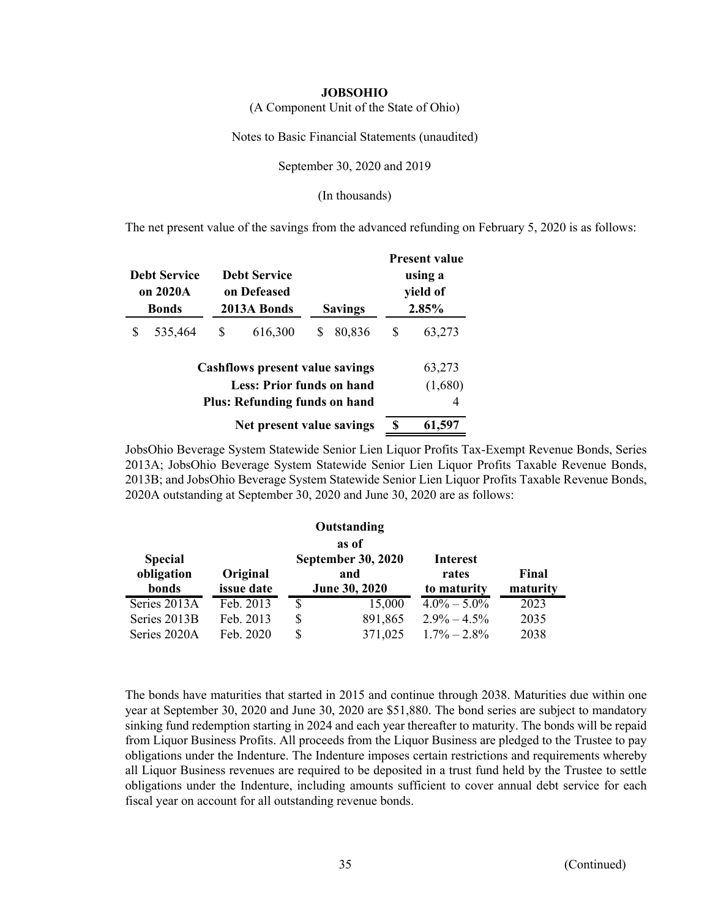(A Component Unit of the State of Ohio)

Notes to Basic Financial Statements (unaudited)

September 30, 2020 and 2019

(In thousands)

The net present value of the savings from the advanced refunding on February 5, 2020 is as follows:

|   | <b>Debt Service</b><br>on 2020A<br><b>Bonds</b> | <b>Debt Service</b><br>on Defeased<br>2013A Bonds |                                                                                                                    | <b>Savings</b> | <b>Present value</b><br>using a<br>yield of<br>2.85% |   |                        |  |
|---|-------------------------------------------------|---------------------------------------------------|--------------------------------------------------------------------------------------------------------------------|----------------|------------------------------------------------------|---|------------------------|--|
| S | 535,464                                         | \$                                                | 616,300                                                                                                            | S              | 80,836                                               | S | 63,273                 |  |
|   |                                                 |                                                   | <b>Cashflows present value savings</b><br><b>Less: Prior funds on hand</b><br><b>Plus: Refunding funds on hand</b> |                |                                                      |   | 63,273<br>(1,680)<br>4 |  |
|   |                                                 |                                                   | Net present value savings                                                                                          |                |                                                      | S | 61,597                 |  |

JobsOhio Beverage System Statewide Senior Lien Liquor Profits Tax-Exempt Revenue Bonds, Series 2013A; JobsOhio Beverage System Statewide Senior Lien Liquor Profits Taxable Revenue Bonds, 2013B; and JobsOhio Beverage System Statewide Senior Lien Liquor Profits Taxable Revenue Bonds, 2020A outstanding at September 30, 2020 and June 30, 2020 are as follows:

|                                       |                        |    | Outstanding                                       |                                  |                   |
|---------------------------------------|------------------------|----|---------------------------------------------------|----------------------------------|-------------------|
|                                       |                        |    | as of                                             |                                  |                   |
| <b>Special</b><br>obligation<br>bonds | Original<br>issue date |    | <b>September 30, 2020</b><br>and<br>June 30, 2020 | Interest<br>rates<br>to maturity | Final<br>maturity |
| Series 2013A                          | Feb. 2013              | \$ | 15,000                                            | $\frac{4.0\%}{6} - 5.0\%$        | 2023              |
| Series 2013B                          | Feb. 2013              | S  | 891,865                                           | $2.9\% - 4.5\%$                  | 2035              |
| Series 2020A                          | Feb. 2020              | S  | 371,025                                           | $1.7\% - 2.8\%$                  | 2038              |

The bonds have maturities that started in 2015 and continue through 2038. Maturities due within one year at September 30, 2020 and June 30, 2020 are \$51,880. The bond series are subject to mandatory sinking fund redemption starting in 2024 and each year thereafter to maturity. The bonds will be repaid from Liquor Business Profits. All proceeds from the Liquor Business are pledged to the Trustee to pay obligations under the Indenture. The Indenture imposes certain restrictions and requirements whereby all Liquor Business revenues are required to be deposited in a trust fund held by the Trustee to settle obligations under the Indenture, including amounts sufficient to cover annual debt service for each fiscal year on account for all outstanding revenue bonds.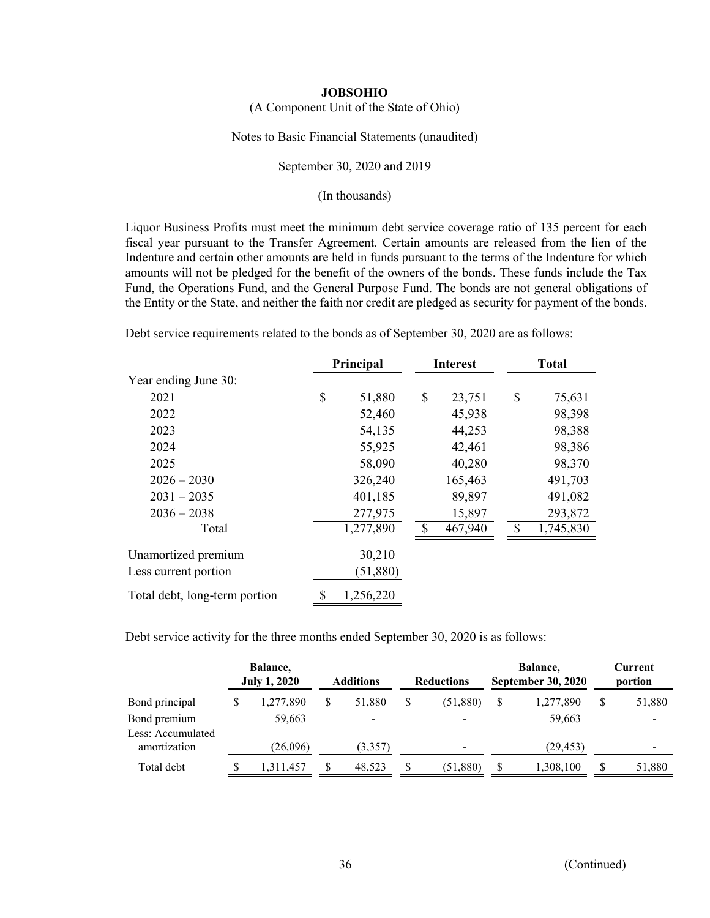(A Component Unit of the State of Ohio)

Notes to Basic Financial Statements (unaudited)

#### September 30, 2020 and 2019

(In thousands)

Liquor Business Profits must meet the minimum debt service coverage ratio of 135 percent for each fiscal year pursuant to the Transfer Agreement. Certain amounts are released from the lien of the Indenture and certain other amounts are held in funds pursuant to the terms of the Indenture for which amounts will not be pledged for the benefit of the owners of the bonds. These funds include the Tax Fund, the Operations Fund, and the General Purpose Fund. The bonds are not general obligations of the Entity or the State, and neither the faith nor credit are pledged as security for payment of the bonds.

Debt service requirements related to the bonds as of September 30, 2020 are as follows:

|                               | Principal |           | <b>Interest</b> | <b>Total</b> |           |  |
|-------------------------------|-----------|-----------|-----------------|--------------|-----------|--|
| Year ending June 30:          |           |           |                 |              |           |  |
| 2021                          | \$        | 51,880    | \$<br>23,751    | \$           | 75,631    |  |
| 2022                          |           | 52,460    | 45,938          |              | 98,398    |  |
| 2023                          |           | 54,135    | 44,253          |              | 98,388    |  |
| 2024                          |           | 55,925    | 42,461          |              | 98,386    |  |
| 2025                          |           | 58,090    | 40,280          |              | 98,370    |  |
| $2026 - 2030$                 |           | 326,240   | 165,463         |              | 491,703   |  |
| $2031 - 2035$                 |           | 401,185   | 89,897          |              | 491,082   |  |
| $2036 - 2038$                 |           | 277,975   | 15,897          |              | 293,872   |  |
| Total                         |           | 1,277,890 | 467,940         |              | 1,745,830 |  |
| Unamortized premium           |           | 30,210    |                 |              |           |  |
| Less current portion          |           | (51, 880) |                 |              |           |  |
| Total debt, long-term portion |           | 1,256,220 |                 |              |           |  |

Debt service activity for the three months ended September 30, 2020 is as follows:

|                                   | Balance,<br><b>July 1, 2020</b> | <b>Additions</b>         |    | <b>Reductions</b> | Balance,<br><b>September 30, 2020</b> | Current<br>portion |
|-----------------------------------|---------------------------------|--------------------------|----|-------------------|---------------------------------------|--------------------|
| Bond principal                    | 1,277,890                       | 51,880                   | \$ | (51,880)          | 1,277,890                             | 51,880             |
| Bond premium<br>Less: Accumulated | 59,663                          | $\overline{\phantom{a}}$ |    |                   | 59,663                                |                    |
| amortization                      | (26,096)                        | (3,357)                  |    | -                 | (29, 453)                             |                    |
| Total debt                        | 1,311,457                       | 48,523                   | S  | (51,880)          | 1,308,100                             | 51,880             |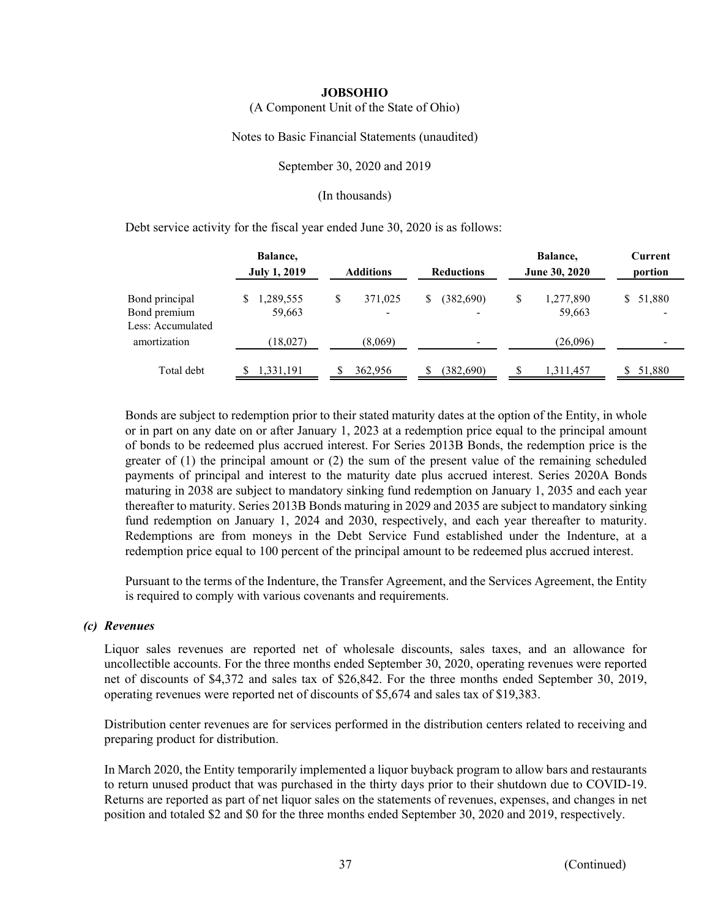(A Component Unit of the State of Ohio)

Notes to Basic Financial Statements (unaudited)

September 30, 2020 and 2019

(In thousands)

Debt service activity for the fiscal year ended June 30, 2020 is as follows:

|                                                     | Balance,<br><b>July 1, 2019</b> | <b>Additions</b> | <b>Reductions</b> | Balance,<br>June 30, 2020 | Current<br>portion       |  |
|-----------------------------------------------------|---------------------------------|------------------|-------------------|---------------------------|--------------------------|--|
| Bond principal<br>Bond premium<br>Less: Accumulated | 1,289,555<br>59,663             | \$<br>371,025    | (382, 690)<br>\$  | \$<br>1,277,890<br>59,663 | 51,880<br>S.             |  |
| amortization                                        | (18,027)                        | (8,069)          |                   | (26,096)                  | $\overline{\phantom{0}}$ |  |
| Total debt                                          | 1,331,191                       | 362,956          | (382, 690)<br>S   | 1,311,457                 | 51,880                   |  |

Bonds are subject to redemption prior to their stated maturity dates at the option of the Entity, in whole or in part on any date on or after January 1, 2023 at a redemption price equal to the principal amount of bonds to be redeemed plus accrued interest. For Series 2013B Bonds, the redemption price is the greater of (1) the principal amount or (2) the sum of the present value of the remaining scheduled payments of principal and interest to the maturity date plus accrued interest. Series 2020A Bonds maturing in 2038 are subject to mandatory sinking fund redemption on January 1, 2035 and each year thereafter to maturity. Series 2013B Bonds maturing in 2029 and 2035 are subject to mandatory sinking fund redemption on January 1, 2024 and 2030, respectively, and each year thereafter to maturity. Redemptions are from moneys in the Debt Service Fund established under the Indenture, at a redemption price equal to 100 percent of the principal amount to be redeemed plus accrued interest.

Pursuant to the terms of the Indenture, the Transfer Agreement, and the Services Agreement, the Entity is required to comply with various covenants and requirements.

#### *(c) Revenues*

Liquor sales revenues are reported net of wholesale discounts, sales taxes, and an allowance for uncollectible accounts. For the three months ended September 30, 2020, operating revenues were reported net of discounts of \$4,372 and sales tax of \$26,842. For the three months ended September 30, 2019, operating revenues were reported net of discounts of \$5,674 and sales tax of \$19,383.

Distribution center revenues are for services performed in the distribution centers related to receiving and preparing product for distribution.

In March 2020, the Entity temporarily implemented a liquor buyback program to allow bars and restaurants to return unused product that was purchased in the thirty days prior to their shutdown due to COVID-19. Returns are reported as part of net liquor sales on the statements of revenues, expenses, and changes in net position and totaled \$2 and \$0 for the three months ended September 30, 2020 and 2019, respectively.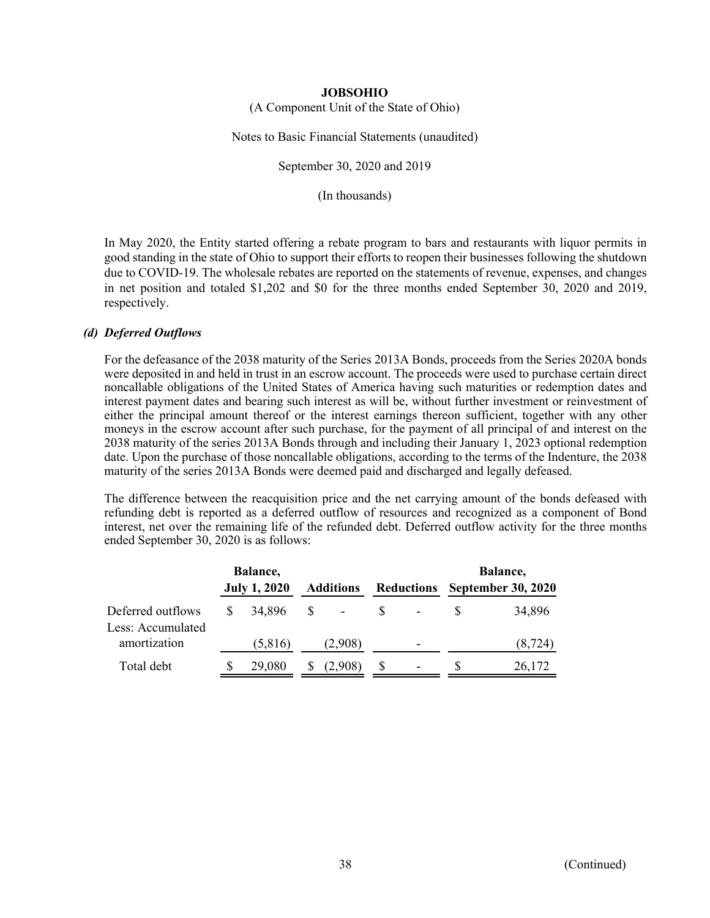(A Component Unit of the State of Ohio)

Notes to Basic Financial Statements (unaudited)

September 30, 2020 and 2019

(In thousands)

In May 2020, the Entity started offering a rebate program to bars and restaurants with liquor permits in good standing in the state of Ohio to support their efforts to reopen their businesses following the shutdown due to COVID-19. The wholesale rebates are reported on the statements of revenue, expenses, and changes in net position and totaled \$1,202 and \$0 for the three months ended September 30, 2020 and 2019, respectively.

#### *(d) Deferred Outflows*

For the defeasance of the 2038 maturity of the Series 2013A Bonds, proceeds from the Series 2020A bonds were deposited in and held in trust in an escrow account. The proceeds were used to purchase certain direct noncallable obligations of the United States of America having such maturities or redemption dates and interest payment dates and bearing such interest as will be, without further investment or reinvestment of either the principal amount thereof or the interest earnings thereon sufficient, together with any other moneys in the escrow account after such purchase, for the payment of all principal of and interest on the 2038 maturity of the series 2013A Bonds through and including their January 1, 2023 optional redemption date. Upon the purchase of those noncallable obligations, according to the terms of the Indenture, the 2038 maturity of the series 2013A Bonds were deemed paid and discharged and legally defeased.

The difference between the reacquisition price and the net carrying amount of the bonds defeased with refunding debt is reported as a deferred outflow of resources and recognized as a component of Bond interest, net over the remaining life of the refunded debt. Deferred outflow activity for the three months ended September 30, 2020 is as follows:

|                                        | Balance,<br><b>July 1, 2020</b> |   | <b>Additions</b>         |   | <b>Reductions</b>        | Balance,<br><b>September 30, 2020</b> |          |
|----------------------------------------|---------------------------------|---|--------------------------|---|--------------------------|---------------------------------------|----------|
| Deferred outflows<br>Less: Accumulated | 34,896                          | S | $\overline{\phantom{a}}$ |   |                          |                                       | 34,896   |
| amortization                           | (5,816)                         |   | (2,908)                  |   | $\overline{\phantom{0}}$ |                                       | (8, 724) |
| Total debt                             | 29,080                          |   | (2,908)                  | S | $\overline{\phantom{0}}$ |                                       | 26,172   |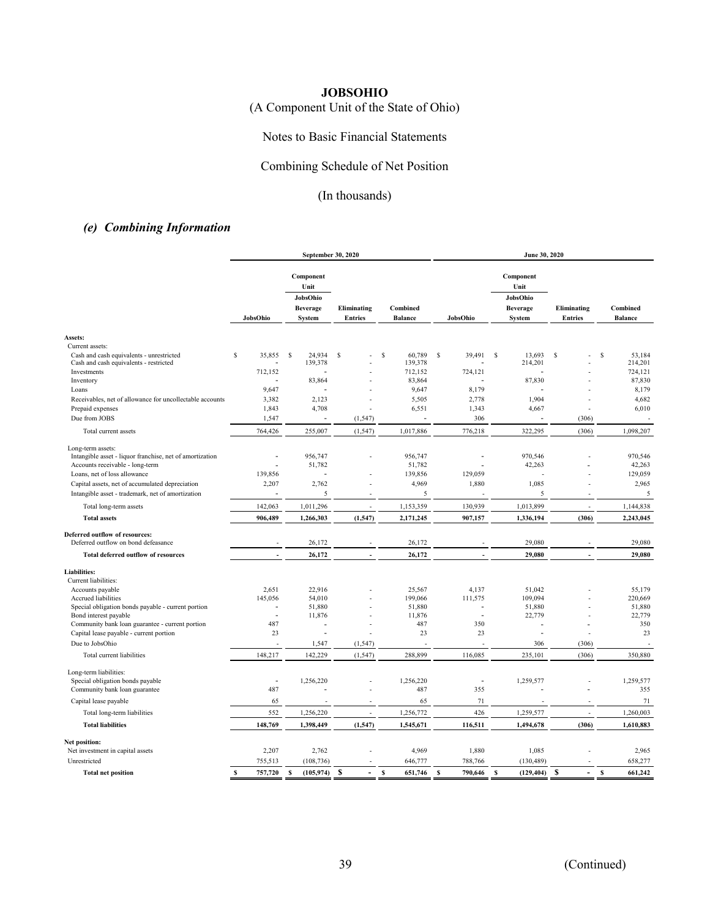(A Component Unit of the State of Ohio)

## Notes to Basic Financial Statements

## Combining Schedule of Net Position

# (In thousands)

# *(e) Combining Information*

| Component<br>Component<br>Unit<br>Unit<br>JobsOhio<br>JobsOhio<br><b>Beverage</b><br>Eliminating<br>Combined<br><b>Beverage</b><br>Eliminating<br>Combined<br>JobsOhio<br>System<br><b>Entries</b><br><b>Balance</b><br>JobsOhio<br>System<br><b>Entries</b><br><b>Balance</b><br>Assets:<br>Current assets:<br>\$<br>35,855<br>\$<br>24,934<br>\$<br>\$<br>60,789<br>s<br>39.491<br><sup>\$</sup><br>13.693<br>S<br>53,184<br>Cash and cash equivalents - unrestricted<br>S<br>139,378<br>139,378<br>214,201<br>Cash and cash equivalents - restricted<br>214,201<br>712,152<br>712,152<br>724,121<br>Investments<br>724,121<br>83,864<br>87,830<br>87,830<br>83,864<br>Inventory<br>9,647<br>9,647<br>8,179<br>8,179<br>Loans<br>4,682<br>Receivables, net of allowance for uncollectable accounts<br>3,382<br>2,123<br>5,505<br>2,778<br>1,904<br>Prepaid expenses<br>1,843<br>4,708<br>6,551<br>1,343<br>6,010<br>4,667<br>Due from JOBS<br>1,547<br>(1, 547)<br>306<br>(306)<br>764,426<br>255,007<br>(1, 547)<br>1,017,886<br>776,218<br>322,295<br>(306)<br>1,098,207<br>Total current assets<br>Long-term assets:<br>970,546<br>970,546<br>Intangible asset - liquor franchise, net of amortization<br>956,747<br>956,747<br>51,782<br>42,263<br>42,263<br>Accounts receivable - long-term<br>51,782<br>L,<br>139,856<br>139,856<br>129,059<br>129,059<br>Loans, net of loss allowance<br>2,207<br>2,762<br>4,969<br>1,880<br>1,085<br>2,965<br>Capital assets, net of accumulated depreciation<br>5<br>5<br>Intangible asset - trademark, net of amortization<br>5<br>5<br>÷,<br>1,011,296<br>1,153,359<br>130,939<br>1,013,899<br>1,144,838<br>Total long-term assets<br>142,063<br><b>Total assets</b><br>906,489<br>1,266,303<br>(1, 547)<br>2,171,245<br>907,157<br>1,336,194<br>(306)<br>2,243,045<br>Deferred outflow of resources:<br>29,080<br>29,080<br>Deferred outflow on bond defeasance<br>26,172<br>26,172<br>26,172<br>29,080<br>29,080<br>Total deferred outflow of resources<br>26,172<br>Liabilities:<br>Current liabilities:<br>Accounts payable<br>2,651<br>22,916<br>25,567<br>4,137<br>51,042<br>55,179<br>199,066<br>Accrued liabilities<br>145,056<br>54,010<br>111,575<br>109,094<br>220,669<br>Special obligation bonds payable - current portion<br>51,880<br>51,880<br>51,880<br>51,880<br>22,779<br>Bond interest payable<br>11,876<br>11,876<br>22,779<br>$\overline{a}$<br>487<br>487<br>350<br>350<br>Community bank loan guarantee - current portion<br>23<br>23<br>23<br>23<br>Capital lease payable - current portion<br>Due to JobsOhio<br>1,547<br>(1, 547)<br>306<br>(306)<br>148,217<br>288,899<br>116,085<br>142,229<br>(1, 547)<br>235,101<br>(306)<br>350,880<br>Total current liabilities<br>Long-term liabilities:<br>Special obligation bonds payable<br>1,256,220<br>1,256,220<br>1,259,577<br>1,259,577<br>Community bank loan guarantee<br>487<br>487<br>355<br>355<br>65<br>71<br>71<br>Capital lease payable<br>65<br>552<br>1,256,220<br>1,256,772<br>426<br>1,259,577<br>1,260,003<br>Total long-term liabilities<br>$\sim$<br>÷<br><b>Total liabilities</b><br>148,769<br>(1, 547)<br>116,511<br>(306)<br>1,610,883<br>1,398,449<br>1,545,671<br>1,494,678<br>Net position:<br>Net investment in capital assets<br>2,207<br>2,762<br>4,969<br>1,880<br>1,085<br>2,965<br>646,777<br>658,277<br>Unrestricted<br>755,513<br>(108, 736)<br>788,766<br>(130, 489)<br>- \$<br>(105, 974)<br>651,746<br>$(129, 404)$ \$<br>661,242<br>757,720<br>s<br>s<br>s<br>790,646<br>s<br><b>S</b><br><b>Total net position</b><br>s<br>$\overline{\phantom{a}}$<br>٠ |  | September 30, 2020 |  | June 30, 2020 |  |  |  |  |
|---------------------------------------------------------------------------------------------------------------------------------------------------------------------------------------------------------------------------------------------------------------------------------------------------------------------------------------------------------------------------------------------------------------------------------------------------------------------------------------------------------------------------------------------------------------------------------------------------------------------------------------------------------------------------------------------------------------------------------------------------------------------------------------------------------------------------------------------------------------------------------------------------------------------------------------------------------------------------------------------------------------------------------------------------------------------------------------------------------------------------------------------------------------------------------------------------------------------------------------------------------------------------------------------------------------------------------------------------------------------------------------------------------------------------------------------------------------------------------------------------------------------------------------------------------------------------------------------------------------------------------------------------------------------------------------------------------------------------------------------------------------------------------------------------------------------------------------------------------------------------------------------------------------------------------------------------------------------------------------------------------------------------------------------------------------------------------------------------------------------------------------------------------------------------------------------------------------------------------------------------------------------------------------------------------------------------------------------------------------------------------------------------------------------------------------------------------------------------------------------------------------------------------------------------------------------------------------------------------------------------------------------------------------------------------------------------------------------------------------------------------------------------------------------------------------------------------------------------------------------------------------------------------------------------------------------------------------------------------------------------------------------------------------------------------------------------------------------------------------------------------------------------------------------------------------------------------------------------------------------------------------------------------------------------------------------------------------------------------------------------------------------------------------------------------------------------------------------------------------------------------------------------------------------------------------------------------------------------------------------|--|--------------------|--|---------------|--|--|--|--|
|                                                                                                                                                                                                                                                                                                                                                                                                                                                                                                                                                                                                                                                                                                                                                                                                                                                                                                                                                                                                                                                                                                                                                                                                                                                                                                                                                                                                                                                                                                                                                                                                                                                                                                                                                                                                                                                                                                                                                                                                                                                                                                                                                                                                                                                                                                                                                                                                                                                                                                                                                                                                                                                                                                                                                                                                                                                                                                                                                                                                                                                                                                                                                                                                                                                                                                                                                                                                                                                                                                                                                                                                                     |  |                    |  |               |  |  |  |  |
|                                                                                                                                                                                                                                                                                                                                                                                                                                                                                                                                                                                                                                                                                                                                                                                                                                                                                                                                                                                                                                                                                                                                                                                                                                                                                                                                                                                                                                                                                                                                                                                                                                                                                                                                                                                                                                                                                                                                                                                                                                                                                                                                                                                                                                                                                                                                                                                                                                                                                                                                                                                                                                                                                                                                                                                                                                                                                                                                                                                                                                                                                                                                                                                                                                                                                                                                                                                                                                                                                                                                                                                                                     |  |                    |  |               |  |  |  |  |
|                                                                                                                                                                                                                                                                                                                                                                                                                                                                                                                                                                                                                                                                                                                                                                                                                                                                                                                                                                                                                                                                                                                                                                                                                                                                                                                                                                                                                                                                                                                                                                                                                                                                                                                                                                                                                                                                                                                                                                                                                                                                                                                                                                                                                                                                                                                                                                                                                                                                                                                                                                                                                                                                                                                                                                                                                                                                                                                                                                                                                                                                                                                                                                                                                                                                                                                                                                                                                                                                                                                                                                                                                     |  |                    |  |               |  |  |  |  |
|                                                                                                                                                                                                                                                                                                                                                                                                                                                                                                                                                                                                                                                                                                                                                                                                                                                                                                                                                                                                                                                                                                                                                                                                                                                                                                                                                                                                                                                                                                                                                                                                                                                                                                                                                                                                                                                                                                                                                                                                                                                                                                                                                                                                                                                                                                                                                                                                                                                                                                                                                                                                                                                                                                                                                                                                                                                                                                                                                                                                                                                                                                                                                                                                                                                                                                                                                                                                                                                                                                                                                                                                                     |  |                    |  |               |  |  |  |  |
|                                                                                                                                                                                                                                                                                                                                                                                                                                                                                                                                                                                                                                                                                                                                                                                                                                                                                                                                                                                                                                                                                                                                                                                                                                                                                                                                                                                                                                                                                                                                                                                                                                                                                                                                                                                                                                                                                                                                                                                                                                                                                                                                                                                                                                                                                                                                                                                                                                                                                                                                                                                                                                                                                                                                                                                                                                                                                                                                                                                                                                                                                                                                                                                                                                                                                                                                                                                                                                                                                                                                                                                                                     |  |                    |  |               |  |  |  |  |
|                                                                                                                                                                                                                                                                                                                                                                                                                                                                                                                                                                                                                                                                                                                                                                                                                                                                                                                                                                                                                                                                                                                                                                                                                                                                                                                                                                                                                                                                                                                                                                                                                                                                                                                                                                                                                                                                                                                                                                                                                                                                                                                                                                                                                                                                                                                                                                                                                                                                                                                                                                                                                                                                                                                                                                                                                                                                                                                                                                                                                                                                                                                                                                                                                                                                                                                                                                                                                                                                                                                                                                                                                     |  |                    |  |               |  |  |  |  |
|                                                                                                                                                                                                                                                                                                                                                                                                                                                                                                                                                                                                                                                                                                                                                                                                                                                                                                                                                                                                                                                                                                                                                                                                                                                                                                                                                                                                                                                                                                                                                                                                                                                                                                                                                                                                                                                                                                                                                                                                                                                                                                                                                                                                                                                                                                                                                                                                                                                                                                                                                                                                                                                                                                                                                                                                                                                                                                                                                                                                                                                                                                                                                                                                                                                                                                                                                                                                                                                                                                                                                                                                                     |  |                    |  |               |  |  |  |  |
|                                                                                                                                                                                                                                                                                                                                                                                                                                                                                                                                                                                                                                                                                                                                                                                                                                                                                                                                                                                                                                                                                                                                                                                                                                                                                                                                                                                                                                                                                                                                                                                                                                                                                                                                                                                                                                                                                                                                                                                                                                                                                                                                                                                                                                                                                                                                                                                                                                                                                                                                                                                                                                                                                                                                                                                                                                                                                                                                                                                                                                                                                                                                                                                                                                                                                                                                                                                                                                                                                                                                                                                                                     |  |                    |  |               |  |  |  |  |
|                                                                                                                                                                                                                                                                                                                                                                                                                                                                                                                                                                                                                                                                                                                                                                                                                                                                                                                                                                                                                                                                                                                                                                                                                                                                                                                                                                                                                                                                                                                                                                                                                                                                                                                                                                                                                                                                                                                                                                                                                                                                                                                                                                                                                                                                                                                                                                                                                                                                                                                                                                                                                                                                                                                                                                                                                                                                                                                                                                                                                                                                                                                                                                                                                                                                                                                                                                                                                                                                                                                                                                                                                     |  |                    |  |               |  |  |  |  |
|                                                                                                                                                                                                                                                                                                                                                                                                                                                                                                                                                                                                                                                                                                                                                                                                                                                                                                                                                                                                                                                                                                                                                                                                                                                                                                                                                                                                                                                                                                                                                                                                                                                                                                                                                                                                                                                                                                                                                                                                                                                                                                                                                                                                                                                                                                                                                                                                                                                                                                                                                                                                                                                                                                                                                                                                                                                                                                                                                                                                                                                                                                                                                                                                                                                                                                                                                                                                                                                                                                                                                                                                                     |  |                    |  |               |  |  |  |  |
|                                                                                                                                                                                                                                                                                                                                                                                                                                                                                                                                                                                                                                                                                                                                                                                                                                                                                                                                                                                                                                                                                                                                                                                                                                                                                                                                                                                                                                                                                                                                                                                                                                                                                                                                                                                                                                                                                                                                                                                                                                                                                                                                                                                                                                                                                                                                                                                                                                                                                                                                                                                                                                                                                                                                                                                                                                                                                                                                                                                                                                                                                                                                                                                                                                                                                                                                                                                                                                                                                                                                                                                                                     |  |                    |  |               |  |  |  |  |
|                                                                                                                                                                                                                                                                                                                                                                                                                                                                                                                                                                                                                                                                                                                                                                                                                                                                                                                                                                                                                                                                                                                                                                                                                                                                                                                                                                                                                                                                                                                                                                                                                                                                                                                                                                                                                                                                                                                                                                                                                                                                                                                                                                                                                                                                                                                                                                                                                                                                                                                                                                                                                                                                                                                                                                                                                                                                                                                                                                                                                                                                                                                                                                                                                                                                                                                                                                                                                                                                                                                                                                                                                     |  |                    |  |               |  |  |  |  |
|                                                                                                                                                                                                                                                                                                                                                                                                                                                                                                                                                                                                                                                                                                                                                                                                                                                                                                                                                                                                                                                                                                                                                                                                                                                                                                                                                                                                                                                                                                                                                                                                                                                                                                                                                                                                                                                                                                                                                                                                                                                                                                                                                                                                                                                                                                                                                                                                                                                                                                                                                                                                                                                                                                                                                                                                                                                                                                                                                                                                                                                                                                                                                                                                                                                                                                                                                                                                                                                                                                                                                                                                                     |  |                    |  |               |  |  |  |  |
|                                                                                                                                                                                                                                                                                                                                                                                                                                                                                                                                                                                                                                                                                                                                                                                                                                                                                                                                                                                                                                                                                                                                                                                                                                                                                                                                                                                                                                                                                                                                                                                                                                                                                                                                                                                                                                                                                                                                                                                                                                                                                                                                                                                                                                                                                                                                                                                                                                                                                                                                                                                                                                                                                                                                                                                                                                                                                                                                                                                                                                                                                                                                                                                                                                                                                                                                                                                                                                                                                                                                                                                                                     |  |                    |  |               |  |  |  |  |
|                                                                                                                                                                                                                                                                                                                                                                                                                                                                                                                                                                                                                                                                                                                                                                                                                                                                                                                                                                                                                                                                                                                                                                                                                                                                                                                                                                                                                                                                                                                                                                                                                                                                                                                                                                                                                                                                                                                                                                                                                                                                                                                                                                                                                                                                                                                                                                                                                                                                                                                                                                                                                                                                                                                                                                                                                                                                                                                                                                                                                                                                                                                                                                                                                                                                                                                                                                                                                                                                                                                                                                                                                     |  |                    |  |               |  |  |  |  |
|                                                                                                                                                                                                                                                                                                                                                                                                                                                                                                                                                                                                                                                                                                                                                                                                                                                                                                                                                                                                                                                                                                                                                                                                                                                                                                                                                                                                                                                                                                                                                                                                                                                                                                                                                                                                                                                                                                                                                                                                                                                                                                                                                                                                                                                                                                                                                                                                                                                                                                                                                                                                                                                                                                                                                                                                                                                                                                                                                                                                                                                                                                                                                                                                                                                                                                                                                                                                                                                                                                                                                                                                                     |  |                    |  |               |  |  |  |  |
|                                                                                                                                                                                                                                                                                                                                                                                                                                                                                                                                                                                                                                                                                                                                                                                                                                                                                                                                                                                                                                                                                                                                                                                                                                                                                                                                                                                                                                                                                                                                                                                                                                                                                                                                                                                                                                                                                                                                                                                                                                                                                                                                                                                                                                                                                                                                                                                                                                                                                                                                                                                                                                                                                                                                                                                                                                                                                                                                                                                                                                                                                                                                                                                                                                                                                                                                                                                                                                                                                                                                                                                                                     |  |                    |  |               |  |  |  |  |
|                                                                                                                                                                                                                                                                                                                                                                                                                                                                                                                                                                                                                                                                                                                                                                                                                                                                                                                                                                                                                                                                                                                                                                                                                                                                                                                                                                                                                                                                                                                                                                                                                                                                                                                                                                                                                                                                                                                                                                                                                                                                                                                                                                                                                                                                                                                                                                                                                                                                                                                                                                                                                                                                                                                                                                                                                                                                                                                                                                                                                                                                                                                                                                                                                                                                                                                                                                                                                                                                                                                                                                                                                     |  |                    |  |               |  |  |  |  |
|                                                                                                                                                                                                                                                                                                                                                                                                                                                                                                                                                                                                                                                                                                                                                                                                                                                                                                                                                                                                                                                                                                                                                                                                                                                                                                                                                                                                                                                                                                                                                                                                                                                                                                                                                                                                                                                                                                                                                                                                                                                                                                                                                                                                                                                                                                                                                                                                                                                                                                                                                                                                                                                                                                                                                                                                                                                                                                                                                                                                                                                                                                                                                                                                                                                                                                                                                                                                                                                                                                                                                                                                                     |  |                    |  |               |  |  |  |  |
|                                                                                                                                                                                                                                                                                                                                                                                                                                                                                                                                                                                                                                                                                                                                                                                                                                                                                                                                                                                                                                                                                                                                                                                                                                                                                                                                                                                                                                                                                                                                                                                                                                                                                                                                                                                                                                                                                                                                                                                                                                                                                                                                                                                                                                                                                                                                                                                                                                                                                                                                                                                                                                                                                                                                                                                                                                                                                                                                                                                                                                                                                                                                                                                                                                                                                                                                                                                                                                                                                                                                                                                                                     |  |                    |  |               |  |  |  |  |
|                                                                                                                                                                                                                                                                                                                                                                                                                                                                                                                                                                                                                                                                                                                                                                                                                                                                                                                                                                                                                                                                                                                                                                                                                                                                                                                                                                                                                                                                                                                                                                                                                                                                                                                                                                                                                                                                                                                                                                                                                                                                                                                                                                                                                                                                                                                                                                                                                                                                                                                                                                                                                                                                                                                                                                                                                                                                                                                                                                                                                                                                                                                                                                                                                                                                                                                                                                                                                                                                                                                                                                                                                     |  |                    |  |               |  |  |  |  |
|                                                                                                                                                                                                                                                                                                                                                                                                                                                                                                                                                                                                                                                                                                                                                                                                                                                                                                                                                                                                                                                                                                                                                                                                                                                                                                                                                                                                                                                                                                                                                                                                                                                                                                                                                                                                                                                                                                                                                                                                                                                                                                                                                                                                                                                                                                                                                                                                                                                                                                                                                                                                                                                                                                                                                                                                                                                                                                                                                                                                                                                                                                                                                                                                                                                                                                                                                                                                                                                                                                                                                                                                                     |  |                    |  |               |  |  |  |  |
|                                                                                                                                                                                                                                                                                                                                                                                                                                                                                                                                                                                                                                                                                                                                                                                                                                                                                                                                                                                                                                                                                                                                                                                                                                                                                                                                                                                                                                                                                                                                                                                                                                                                                                                                                                                                                                                                                                                                                                                                                                                                                                                                                                                                                                                                                                                                                                                                                                                                                                                                                                                                                                                                                                                                                                                                                                                                                                                                                                                                                                                                                                                                                                                                                                                                                                                                                                                                                                                                                                                                                                                                                     |  |                    |  |               |  |  |  |  |
|                                                                                                                                                                                                                                                                                                                                                                                                                                                                                                                                                                                                                                                                                                                                                                                                                                                                                                                                                                                                                                                                                                                                                                                                                                                                                                                                                                                                                                                                                                                                                                                                                                                                                                                                                                                                                                                                                                                                                                                                                                                                                                                                                                                                                                                                                                                                                                                                                                                                                                                                                                                                                                                                                                                                                                                                                                                                                                                                                                                                                                                                                                                                                                                                                                                                                                                                                                                                                                                                                                                                                                                                                     |  |                    |  |               |  |  |  |  |
|                                                                                                                                                                                                                                                                                                                                                                                                                                                                                                                                                                                                                                                                                                                                                                                                                                                                                                                                                                                                                                                                                                                                                                                                                                                                                                                                                                                                                                                                                                                                                                                                                                                                                                                                                                                                                                                                                                                                                                                                                                                                                                                                                                                                                                                                                                                                                                                                                                                                                                                                                                                                                                                                                                                                                                                                                                                                                                                                                                                                                                                                                                                                                                                                                                                                                                                                                                                                                                                                                                                                                                                                                     |  |                    |  |               |  |  |  |  |
|                                                                                                                                                                                                                                                                                                                                                                                                                                                                                                                                                                                                                                                                                                                                                                                                                                                                                                                                                                                                                                                                                                                                                                                                                                                                                                                                                                                                                                                                                                                                                                                                                                                                                                                                                                                                                                                                                                                                                                                                                                                                                                                                                                                                                                                                                                                                                                                                                                                                                                                                                                                                                                                                                                                                                                                                                                                                                                                                                                                                                                                                                                                                                                                                                                                                                                                                                                                                                                                                                                                                                                                                                     |  |                    |  |               |  |  |  |  |
|                                                                                                                                                                                                                                                                                                                                                                                                                                                                                                                                                                                                                                                                                                                                                                                                                                                                                                                                                                                                                                                                                                                                                                                                                                                                                                                                                                                                                                                                                                                                                                                                                                                                                                                                                                                                                                                                                                                                                                                                                                                                                                                                                                                                                                                                                                                                                                                                                                                                                                                                                                                                                                                                                                                                                                                                                                                                                                                                                                                                                                                                                                                                                                                                                                                                                                                                                                                                                                                                                                                                                                                                                     |  |                    |  |               |  |  |  |  |
|                                                                                                                                                                                                                                                                                                                                                                                                                                                                                                                                                                                                                                                                                                                                                                                                                                                                                                                                                                                                                                                                                                                                                                                                                                                                                                                                                                                                                                                                                                                                                                                                                                                                                                                                                                                                                                                                                                                                                                                                                                                                                                                                                                                                                                                                                                                                                                                                                                                                                                                                                                                                                                                                                                                                                                                                                                                                                                                                                                                                                                                                                                                                                                                                                                                                                                                                                                                                                                                                                                                                                                                                                     |  |                    |  |               |  |  |  |  |
|                                                                                                                                                                                                                                                                                                                                                                                                                                                                                                                                                                                                                                                                                                                                                                                                                                                                                                                                                                                                                                                                                                                                                                                                                                                                                                                                                                                                                                                                                                                                                                                                                                                                                                                                                                                                                                                                                                                                                                                                                                                                                                                                                                                                                                                                                                                                                                                                                                                                                                                                                                                                                                                                                                                                                                                                                                                                                                                                                                                                                                                                                                                                                                                                                                                                                                                                                                                                                                                                                                                                                                                                                     |  |                    |  |               |  |  |  |  |
|                                                                                                                                                                                                                                                                                                                                                                                                                                                                                                                                                                                                                                                                                                                                                                                                                                                                                                                                                                                                                                                                                                                                                                                                                                                                                                                                                                                                                                                                                                                                                                                                                                                                                                                                                                                                                                                                                                                                                                                                                                                                                                                                                                                                                                                                                                                                                                                                                                                                                                                                                                                                                                                                                                                                                                                                                                                                                                                                                                                                                                                                                                                                                                                                                                                                                                                                                                                                                                                                                                                                                                                                                     |  |                    |  |               |  |  |  |  |
|                                                                                                                                                                                                                                                                                                                                                                                                                                                                                                                                                                                                                                                                                                                                                                                                                                                                                                                                                                                                                                                                                                                                                                                                                                                                                                                                                                                                                                                                                                                                                                                                                                                                                                                                                                                                                                                                                                                                                                                                                                                                                                                                                                                                                                                                                                                                                                                                                                                                                                                                                                                                                                                                                                                                                                                                                                                                                                                                                                                                                                                                                                                                                                                                                                                                                                                                                                                                                                                                                                                                                                                                                     |  |                    |  |               |  |  |  |  |
|                                                                                                                                                                                                                                                                                                                                                                                                                                                                                                                                                                                                                                                                                                                                                                                                                                                                                                                                                                                                                                                                                                                                                                                                                                                                                                                                                                                                                                                                                                                                                                                                                                                                                                                                                                                                                                                                                                                                                                                                                                                                                                                                                                                                                                                                                                                                                                                                                                                                                                                                                                                                                                                                                                                                                                                                                                                                                                                                                                                                                                                                                                                                                                                                                                                                                                                                                                                                                                                                                                                                                                                                                     |  |                    |  |               |  |  |  |  |
|                                                                                                                                                                                                                                                                                                                                                                                                                                                                                                                                                                                                                                                                                                                                                                                                                                                                                                                                                                                                                                                                                                                                                                                                                                                                                                                                                                                                                                                                                                                                                                                                                                                                                                                                                                                                                                                                                                                                                                                                                                                                                                                                                                                                                                                                                                                                                                                                                                                                                                                                                                                                                                                                                                                                                                                                                                                                                                                                                                                                                                                                                                                                                                                                                                                                                                                                                                                                                                                                                                                                                                                                                     |  |                    |  |               |  |  |  |  |
|                                                                                                                                                                                                                                                                                                                                                                                                                                                                                                                                                                                                                                                                                                                                                                                                                                                                                                                                                                                                                                                                                                                                                                                                                                                                                                                                                                                                                                                                                                                                                                                                                                                                                                                                                                                                                                                                                                                                                                                                                                                                                                                                                                                                                                                                                                                                                                                                                                                                                                                                                                                                                                                                                                                                                                                                                                                                                                                                                                                                                                                                                                                                                                                                                                                                                                                                                                                                                                                                                                                                                                                                                     |  |                    |  |               |  |  |  |  |
|                                                                                                                                                                                                                                                                                                                                                                                                                                                                                                                                                                                                                                                                                                                                                                                                                                                                                                                                                                                                                                                                                                                                                                                                                                                                                                                                                                                                                                                                                                                                                                                                                                                                                                                                                                                                                                                                                                                                                                                                                                                                                                                                                                                                                                                                                                                                                                                                                                                                                                                                                                                                                                                                                                                                                                                                                                                                                                                                                                                                                                                                                                                                                                                                                                                                                                                                                                                                                                                                                                                                                                                                                     |  |                    |  |               |  |  |  |  |
|                                                                                                                                                                                                                                                                                                                                                                                                                                                                                                                                                                                                                                                                                                                                                                                                                                                                                                                                                                                                                                                                                                                                                                                                                                                                                                                                                                                                                                                                                                                                                                                                                                                                                                                                                                                                                                                                                                                                                                                                                                                                                                                                                                                                                                                                                                                                                                                                                                                                                                                                                                                                                                                                                                                                                                                                                                                                                                                                                                                                                                                                                                                                                                                                                                                                                                                                                                                                                                                                                                                                                                                                                     |  |                    |  |               |  |  |  |  |
|                                                                                                                                                                                                                                                                                                                                                                                                                                                                                                                                                                                                                                                                                                                                                                                                                                                                                                                                                                                                                                                                                                                                                                                                                                                                                                                                                                                                                                                                                                                                                                                                                                                                                                                                                                                                                                                                                                                                                                                                                                                                                                                                                                                                                                                                                                                                                                                                                                                                                                                                                                                                                                                                                                                                                                                                                                                                                                                                                                                                                                                                                                                                                                                                                                                                                                                                                                                                                                                                                                                                                                                                                     |  |                    |  |               |  |  |  |  |
|                                                                                                                                                                                                                                                                                                                                                                                                                                                                                                                                                                                                                                                                                                                                                                                                                                                                                                                                                                                                                                                                                                                                                                                                                                                                                                                                                                                                                                                                                                                                                                                                                                                                                                                                                                                                                                                                                                                                                                                                                                                                                                                                                                                                                                                                                                                                                                                                                                                                                                                                                                                                                                                                                                                                                                                                                                                                                                                                                                                                                                                                                                                                                                                                                                                                                                                                                                                                                                                                                                                                                                                                                     |  |                    |  |               |  |  |  |  |
|                                                                                                                                                                                                                                                                                                                                                                                                                                                                                                                                                                                                                                                                                                                                                                                                                                                                                                                                                                                                                                                                                                                                                                                                                                                                                                                                                                                                                                                                                                                                                                                                                                                                                                                                                                                                                                                                                                                                                                                                                                                                                                                                                                                                                                                                                                                                                                                                                                                                                                                                                                                                                                                                                                                                                                                                                                                                                                                                                                                                                                                                                                                                                                                                                                                                                                                                                                                                                                                                                                                                                                                                                     |  |                    |  |               |  |  |  |  |
|                                                                                                                                                                                                                                                                                                                                                                                                                                                                                                                                                                                                                                                                                                                                                                                                                                                                                                                                                                                                                                                                                                                                                                                                                                                                                                                                                                                                                                                                                                                                                                                                                                                                                                                                                                                                                                                                                                                                                                                                                                                                                                                                                                                                                                                                                                                                                                                                                                                                                                                                                                                                                                                                                                                                                                                                                                                                                                                                                                                                                                                                                                                                                                                                                                                                                                                                                                                                                                                                                                                                                                                                                     |  |                    |  |               |  |  |  |  |
|                                                                                                                                                                                                                                                                                                                                                                                                                                                                                                                                                                                                                                                                                                                                                                                                                                                                                                                                                                                                                                                                                                                                                                                                                                                                                                                                                                                                                                                                                                                                                                                                                                                                                                                                                                                                                                                                                                                                                                                                                                                                                                                                                                                                                                                                                                                                                                                                                                                                                                                                                                                                                                                                                                                                                                                                                                                                                                                                                                                                                                                                                                                                                                                                                                                                                                                                                                                                                                                                                                                                                                                                                     |  |                    |  |               |  |  |  |  |
|                                                                                                                                                                                                                                                                                                                                                                                                                                                                                                                                                                                                                                                                                                                                                                                                                                                                                                                                                                                                                                                                                                                                                                                                                                                                                                                                                                                                                                                                                                                                                                                                                                                                                                                                                                                                                                                                                                                                                                                                                                                                                                                                                                                                                                                                                                                                                                                                                                                                                                                                                                                                                                                                                                                                                                                                                                                                                                                                                                                                                                                                                                                                                                                                                                                                                                                                                                                                                                                                                                                                                                                                                     |  |                    |  |               |  |  |  |  |
|                                                                                                                                                                                                                                                                                                                                                                                                                                                                                                                                                                                                                                                                                                                                                                                                                                                                                                                                                                                                                                                                                                                                                                                                                                                                                                                                                                                                                                                                                                                                                                                                                                                                                                                                                                                                                                                                                                                                                                                                                                                                                                                                                                                                                                                                                                                                                                                                                                                                                                                                                                                                                                                                                                                                                                                                                                                                                                                                                                                                                                                                                                                                                                                                                                                                                                                                                                                                                                                                                                                                                                                                                     |  |                    |  |               |  |  |  |  |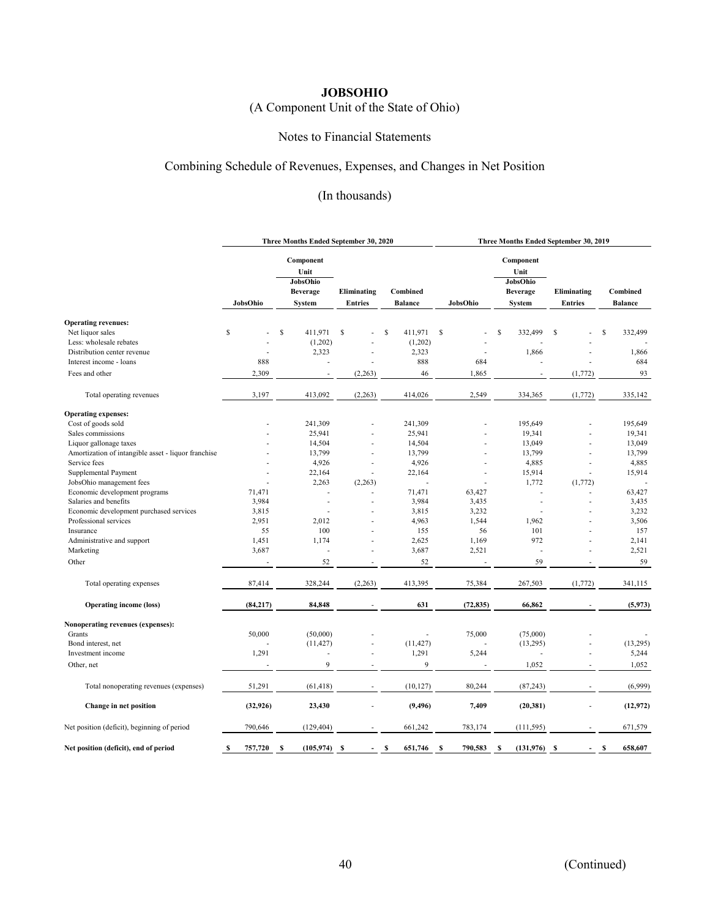# (A Component Unit of the State of Ohio)

#### Notes to Financial Statements

## Combining Schedule of Revenues, Expenses, and Changes in Net Position

## (In thousands)

|                                                     |               | Three Months Ended September 30, 2020                             |                                |                            | Three Months Ended September 30, 2019 |                                                            |                               |                            |
|-----------------------------------------------------|---------------|-------------------------------------------------------------------|--------------------------------|----------------------------|---------------------------------------|------------------------------------------------------------|-------------------------------|----------------------------|
|                                                     | JobsOhio      | Component<br>Unit<br>JobsOhio<br><b>Beverage</b><br><b>System</b> | Eliminating<br><b>Entries</b>  | Combined<br><b>Balance</b> | JobsOhio                              | Component<br>Unit<br>JobsOhio<br><b>Beverage</b><br>System | Eliminating<br><b>Entries</b> | Combined<br><b>Balance</b> |
| <b>Operating revenues:</b>                          |               |                                                                   |                                |                            |                                       |                                                            |                               |                            |
| Net liquor sales                                    | S             | \$<br>411.971                                                     | S                              | S<br>411.971               | \$                                    | 332,499<br>S                                               | S                             | \$<br>332,499              |
| Less: wholesale rebates                             |               | (1,202)                                                           |                                | (1,202)                    |                                       |                                                            |                               |                            |
| Distribution center revenue                         |               | 2,323                                                             |                                | 2,323                      |                                       | 1,866                                                      |                               | 1,866                      |
| Interest income - loans                             | 888           |                                                                   |                                | 888                        | 684                                   |                                                            |                               | 684                        |
| Fees and other                                      | 2,309         | $\overline{\phantom{a}}$                                          | (2, 263)                       | 46                         | 1,865                                 |                                                            | (1,772)                       | 93                         |
| Total operating revenues                            | 3,197         | 413,092                                                           | (2, 263)                       | 414,026                    | 2,549                                 | 334,365                                                    | (1, 772)                      | 335,142                    |
| <b>Operating expenses:</b>                          |               |                                                                   |                                |                            |                                       |                                                            |                               |                            |
| Cost of goods sold                                  |               | 241,309                                                           |                                | 241,309                    |                                       | 195,649                                                    |                               | 195,649                    |
| Sales commissions                                   |               | 25,941                                                            |                                | 25,941                     |                                       | 19,341                                                     |                               | 19,341                     |
| Liquor gallonage taxes                              |               | 14,504                                                            |                                | 14,504                     |                                       | 13,049                                                     |                               | 13,049                     |
| Amortization of intangible asset - liquor franchise |               | 13,799                                                            |                                | 13,799                     |                                       | 13,799                                                     |                               | 13,799                     |
| Service fees                                        |               | 4,926                                                             | ä,                             | 4,926                      |                                       | 4,885                                                      | ä,                            | 4,885                      |
| Supplemental Payment                                |               | 22,164                                                            |                                | 22,164                     |                                       | 15,914                                                     |                               | 15,914                     |
| JobsOhio management fees                            |               | 2,263                                                             | (2,263)                        |                            |                                       | 1,772                                                      | (1,772)                       |                            |
| Economic development programs                       | 71,471        |                                                                   |                                | 71,471                     | 63,427                                |                                                            |                               | 63,427                     |
| Salaries and benefits                               | 3,984         | ÷.                                                                |                                | 3,984                      | 3,435                                 |                                                            | í.                            | 3,435                      |
| Economic development purchased services             | 3,815         |                                                                   |                                | 3,815                      | 3,232                                 |                                                            |                               | 3,232                      |
| Professional services                               | 2,951         | 2,012                                                             |                                | 4,963                      | 1,544                                 | 1,962                                                      |                               | 3,506                      |
| Insurance                                           | 55            | 100                                                               |                                | 155                        | 56                                    | 101                                                        |                               | 157                        |
| Administrative and support                          | 1,451         | 1,174                                                             |                                | 2,625                      | 1,169                                 | 972                                                        |                               | 2,141                      |
| Marketing                                           | 3,687         |                                                                   |                                | 3,687                      | 2,521                                 |                                                            |                               | 2,521                      |
| Other                                               |               | 52                                                                |                                | 52                         |                                       | 59                                                         |                               | 59                         |
| Total operating expenses                            | 87,414        | 328,244                                                           | (2, 263)                       | 413,395                    | 75,384                                | 267,503                                                    | (1,772)                       | 341,115                    |
| <b>Operating income (loss)</b>                      | (84, 217)     | 84,848                                                            |                                | 631                        | (72, 835)                             | 66,862                                                     |                               | (5,973)                    |
|                                                     |               |                                                                   |                                |                            |                                       |                                                            |                               |                            |
| Nonoperating revenues (expenses):<br>Grants         | 50,000        | (50,000)                                                          |                                |                            | 75,000                                | (75,000)                                                   |                               |                            |
| Bond interest, net                                  |               | (11, 427)                                                         |                                | (11, 427)                  |                                       | (13,295)                                                   |                               | (13, 295)                  |
| Investment income                                   | 1,291         |                                                                   |                                | 1,291                      | 5,244                                 |                                                            |                               | 5,244                      |
|                                                     |               |                                                                   |                                |                            |                                       |                                                            |                               |                            |
| Other, net                                          |               | 9                                                                 |                                | 9                          |                                       | 1,052                                                      |                               | 1,052                      |
| Total nonoperating revenues (expenses)              | 51,291        | (61, 418)                                                         |                                | (10, 127)                  | 80,244                                | (87, 243)                                                  |                               | (6,999)                    |
| Change in net position                              | (32, 926)     | 23,430                                                            |                                | (9, 496)                   | 7,409                                 | (20, 381)                                                  |                               | (12, 972)                  |
| Net position (deficit), beginning of period         | 790,646       | (129, 404)                                                        |                                | 661,242                    | 783,174                               | (111, 595)                                                 |                               | 671,579                    |
| Net position (deficit), end of period               | 757,720<br>-S | (105, 974)<br>s                                                   | -S<br>$\overline{\phantom{a}}$ | <sup>\$</sup><br>651,746   | 790,583<br>-S                         | (131,976)<br>s                                             | - \$                          | 658,607<br>\$              |